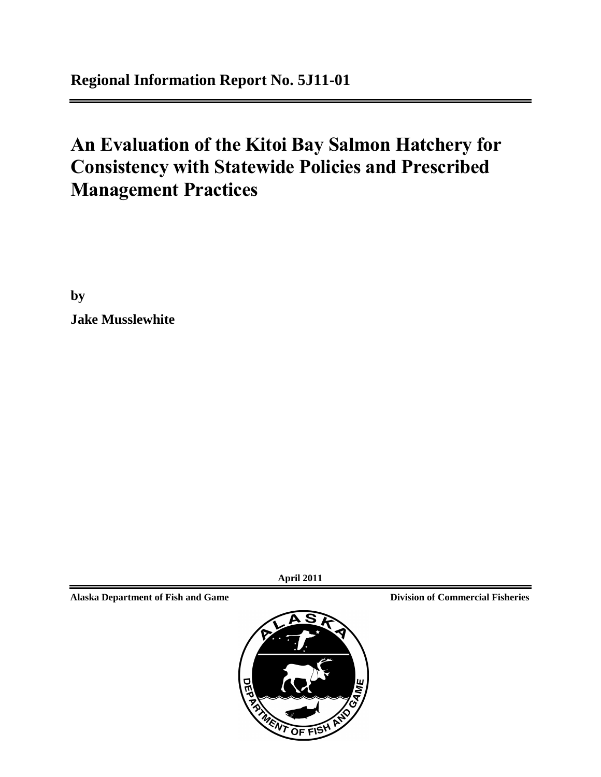# **An Evaluation of the Kitoi Bay Salmon Hatchery for Consistency with Statewide Policies and Prescribed Management Practices**

**by Jake Musslewhite** 

**April 2011**

**Alaska Department of Fish and Game Division of Commercial Fisheries**

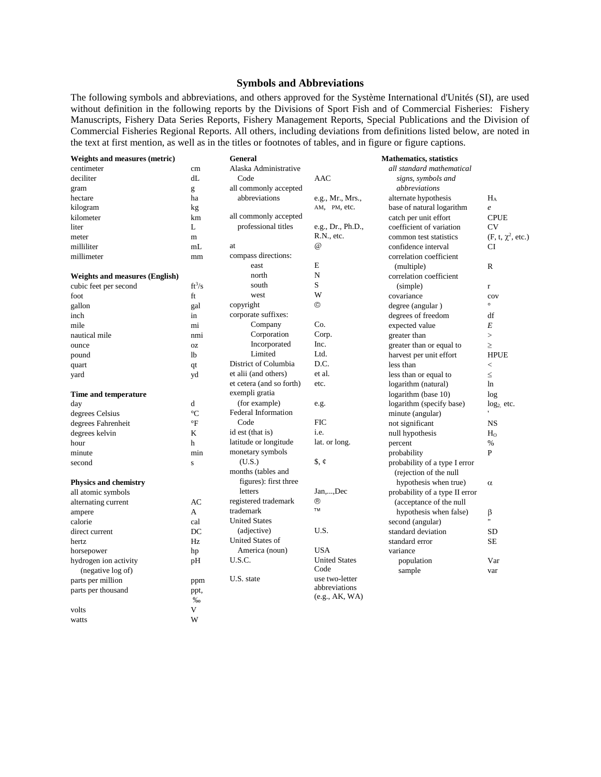#### **Symbols and Abbreviations**

The following symbols and abbreviations, and others approved for the Système International d'Unités (SI), are used without definition in the following reports by the Divisions of Sport Fish and of Commercial Fisheries: Fishery Manuscripts, Fishery Data Series Reports, Fishery Management Reports, Special Publications and the Division of Commercial Fisheries Regional Reports. All others, including deviations from definitions listed below, are noted in the text at first mention, as well as in the titles or footnotes of tables, and in figure or figure captions.

| Weights and measures (metric)         |                 | General                  |                               | <b>Mathematics</b> , statistics |                        |
|---------------------------------------|-----------------|--------------------------|-------------------------------|---------------------------------|------------------------|
| centimeter                            | cm              | Alaska Administrative    |                               | all standard mathematical       |                        |
| deciliter                             | dL              | Code                     | AAC                           | signs, symbols and              |                        |
| gram                                  | g               | all commonly accepted    |                               | abbreviations                   |                        |
| hectare                               | ha              | abbreviations            | e.g., Mr., Mrs.,              | alternate hypothesis            | $H_A$                  |
| kilogram                              | kg              |                          | AM, PM, etc.                  | base of natural logarithm       | e                      |
| kilometer                             | km              | all commonly accepted    |                               | catch per unit effort           | <b>CPUE</b>            |
| liter                                 | L               | professional titles      | e.g., Dr., Ph.D.,             | coefficient of variation        | <b>CV</b>              |
| meter                                 | $\mathbf m$     |                          | R.N., etc.                    | common test statistics          | $(F, t, \chi^2, etc.)$ |
| milliliter                            | mL              | at                       | $\omega$                      | confidence interval             | CI                     |
| millimeter                            | mm              | compass directions:      |                               | correlation coefficient         |                        |
|                                       |                 | east                     | E                             | (multiple)                      | R                      |
| <b>Weights and measures (English)</b> |                 | north                    | N                             | correlation coefficient         |                        |
| cubic feet per second                 | $ft^3/s$        | south                    | S                             | (simple)                        | r                      |
| foot                                  | ft              | west                     | W                             | covariance                      | cov                    |
| gallon                                | gal             | copyright                | ©                             | degree (angular)                | $\circ$                |
| inch                                  | in              | corporate suffixes:      |                               | degrees of freedom              | df                     |
| mile                                  | mi              | Company                  | Co.                           | expected value                  | E                      |
| nautical mile                         | nmi             | Corporation              | Corp.                         | greater than                    | $\geq$                 |
| ounce                                 | <b>OZ</b>       | Incorporated             | Inc.                          | greater than or equal to        | $\geq$                 |
| pound                                 | 1 <sub>b</sub>  | Limited                  | Ltd.                          | harvest per unit effort         | <b>HPUE</b>            |
| quart                                 | qt              | District of Columbia     | D.C.                          | less than                       | $\,<\,$                |
| yard                                  | yd              | et alii (and others)     | et al.                        | less than or equal to           | $\leq$                 |
|                                       |                 | et cetera (and so forth) | etc.                          | logarithm (natural)             | ln                     |
| Time and temperature                  |                 | exempli gratia           |                               | logarithm (base 10)             | log                    |
| day                                   | d               | (for example)            | e.g.                          | logarithm (specify base)        | $log2$ etc.            |
| degrees Celsius                       | $\rm ^{\circ}C$ | Federal Information      |                               | minute (angular)                |                        |
| degrees Fahrenheit                    | $\mathrm{P}$    | Code                     | <b>FIC</b>                    | not significant                 | <b>NS</b>              |
| degrees kelvin                        | K               | id est (that is)         | i.e.                          | null hypothesis                 | $H_0$                  |
| hour                                  | h               | latitude or longitude    | lat. or long.                 | percent                         | $\%$                   |
| minute                                | min             | monetary symbols         |                               | probability                     | P                      |
| second                                | ${\bf S}$       | (U.S.)                   | $\frac{1}{2}$ , $\frac{1}{2}$ | probability of a type I error   |                        |
|                                       |                 | months (tables and       |                               | (rejection of the null          |                        |
| <b>Physics and chemistry</b>          |                 | figures): first three    |                               | hypothesis when true)           | $\alpha$               |
| all atomic symbols                    |                 | letters                  | Jan,,Dec                      | probability of a type II error  |                        |
| alternating current                   | AC              | registered trademark     | ®                             | (acceptance of the null         |                        |
| ampere                                | A               | trademark                | TM                            | hypothesis when false)          | β                      |
| calorie                               | cal             | <b>United States</b>     |                               | second (angular)                | $^{\prime}$            |
| direct current                        | DC              | (adjective)              | U.S.                          | standard deviation              | <b>SD</b>              |
| hertz                                 | Hz              | United States of         |                               | standard error                  | <b>SE</b>              |
| horsepower                            | hp              | America (noun)           | <b>USA</b>                    | variance                        |                        |
| hydrogen ion activity                 | pH              | U.S.C.                   | <b>United States</b>          | population                      | Var                    |
| (negative log of)                     |                 |                          | Code                          | sample                          | var                    |
| parts per million                     | ppm             | U.S. state               | use two-letter                |                                 |                        |
| parts per thousand                    | ppt,            |                          | abbreviations                 |                                 |                        |
|                                       | %               |                          | (e.g., AK, WA)                |                                 |                        |
| volts                                 | V               |                          |                               |                                 |                        |
| watts                                 | W               |                          |                               |                                 |                        |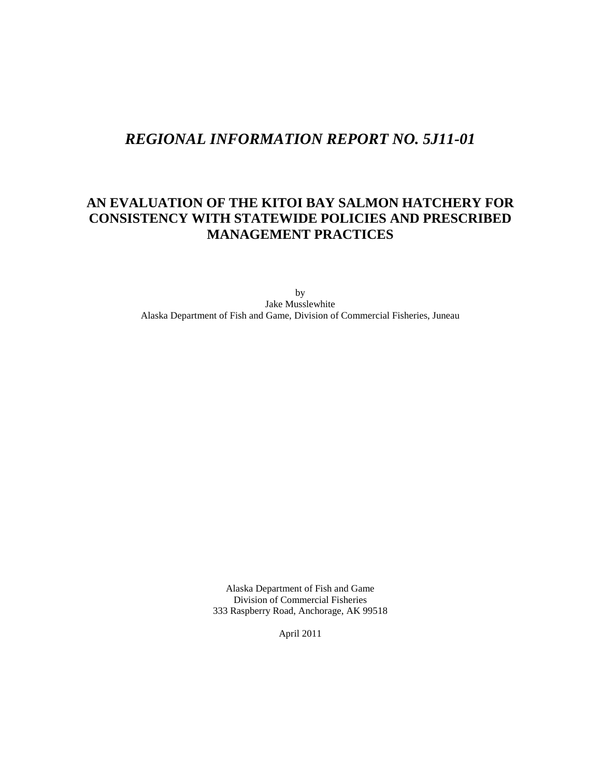# *REGIONAL INFORMATION REPORT NO. 5J11-01*

# **AN EVALUATION OF THE KITOI BAY SALMON HATCHERY FOR CONSISTENCY WITH STATEWIDE POLICIES AND PRESCRIBED MANAGEMENT PRACTICES**

by Jake Musslewhite Alaska Department of Fish and Game, Division of Commercial Fisheries, Juneau

> Alaska Department of Fish and Game Division of Commercial Fisheries 333 Raspberry Road, Anchorage, AK 99518

> > April 2011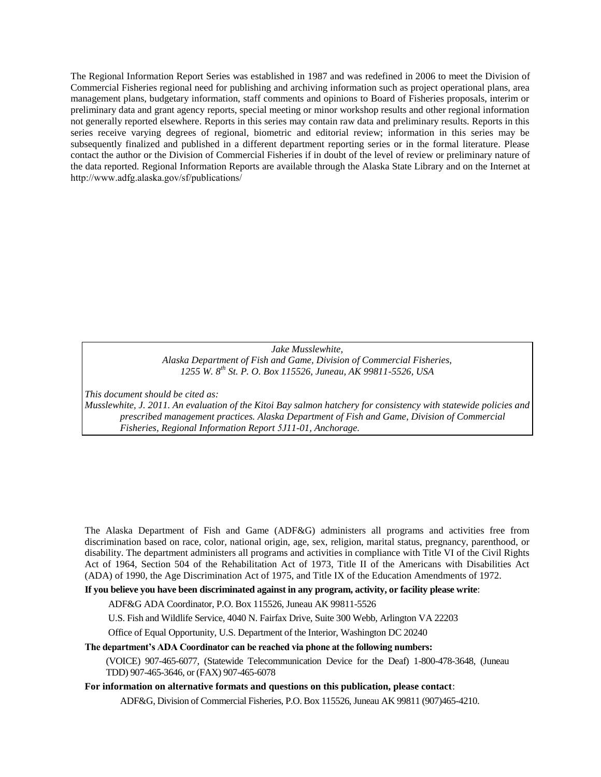The Regional Information Report Series was established in 1987 and was redefined in 2006 to meet the Division of Commercial Fisheries regional need for publishing and archiving information such as project operational plans, area management plans, budgetary information, staff comments and opinions to Board of Fisheries proposals, interim or preliminary data and grant agency reports, special meeting or minor workshop results and other regional information not generally reported elsewhere. Reports in this series may contain raw data and preliminary results. Reports in this series receive varying degrees of regional, biometric and editorial review; information in this series may be subsequently finalized and published in a different department reporting series or in the formal literature. Please contact the author or the Division of Commercial Fisheries if in doubt of the level of review or preliminary nature of the data reported. Regional Information Reports are available through the Alaska State Library and on the Internet at ht[tp://www.adfg.alaska.gov/sf/publications/](http://www.adfg.alaska.gov/sf/publications/)

#### *Jake Musslewhite, Alaska Department of Fish and Game, Division of Commercial Fisheries, 1255 W. 8th St. P. O. Box 115526, Juneau, AK 99811-5526, USA*

*This document should be cited as:*

*Musslewhite, J. 2011. An evaluation of the Kitoi Bay salmon hatchery for consistency with statewide policies and prescribed management practices. Alaska Department of Fish and Game, Division of Commercial Fisheries, Regional Information Report 5J11-01, Anchorage.* 

The Alaska Department of Fish and Game (ADF&G) administers all programs and activities free from discrimination based on race, color, national origin, age, sex, religion, marital status, pregnancy, parenthood, or disability. The department administers all programs and activities in compliance with Title VI of the Civil Rights Act of 1964, Section 504 of the Rehabilitation Act of 1973, Title II of the Americans with Disabilities Act (ADA) of 1990, the Age Discrimination Act of 1975, and Title IX of the Education Amendments of 1972.

**If you believe you have been discriminated against in any program, activity, or facility please write**:

ADF&G ADA Coordinator, P.O. Box 115526, Juneau AK 99811-5526

U.S. Fish and Wildlife Service, 4040 N. Fairfax Drive, Suite 300 Webb, Arlington VA 22203

Office of Equal Opportunity, U.S. Department of the Interior, Washington DC 20240

**The department's ADA Coordinator can be reached via phone at the following numbers:** 

(VOICE) 907-465-6077, (Statewide Telecommunication Device for the Deaf) 1-800-478-3648, (Juneau TDD) 907-465-3646, or (FAX) 907-465-6078

**For information on alternative formats and questions on this publication, please contact**:

ADF&G, Division of Commercial Fisheries, P.O. Box 115526, Juneau AK 99811 (907)465-4210.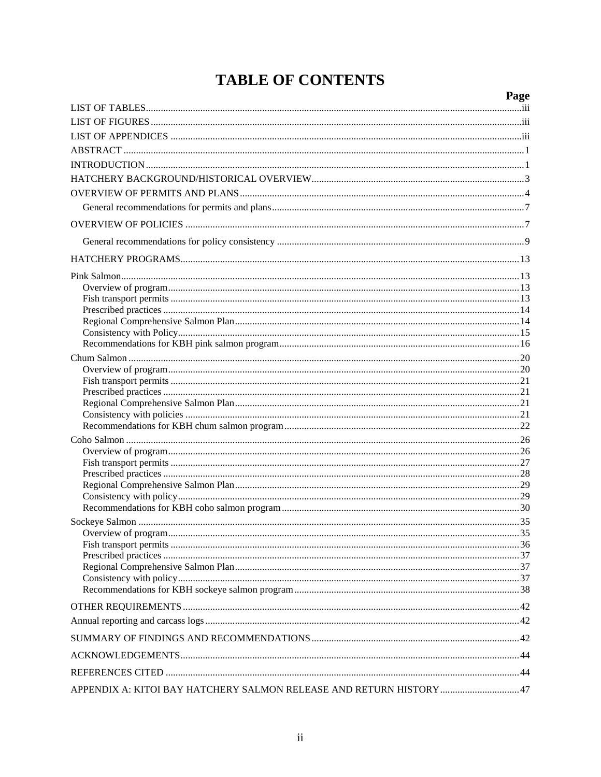# **TABLE OF CONTENTS**

|                                                                     | Page |
|---------------------------------------------------------------------|------|
|                                                                     |      |
|                                                                     |      |
|                                                                     |      |
|                                                                     |      |
|                                                                     |      |
|                                                                     |      |
|                                                                     |      |
|                                                                     |      |
|                                                                     |      |
|                                                                     |      |
|                                                                     |      |
|                                                                     |      |
|                                                                     |      |
|                                                                     |      |
|                                                                     |      |
|                                                                     |      |
|                                                                     |      |
|                                                                     |      |
|                                                                     |      |
|                                                                     |      |
|                                                                     |      |
|                                                                     |      |
|                                                                     |      |
|                                                                     |      |
|                                                                     |      |
|                                                                     |      |
|                                                                     |      |
|                                                                     |      |
|                                                                     |      |
|                                                                     |      |
|                                                                     |      |
|                                                                     |      |
|                                                                     |      |
|                                                                     |      |
|                                                                     |      |
|                                                                     |      |
|                                                                     |      |
|                                                                     |      |
|                                                                     |      |
|                                                                     |      |
|                                                                     |      |
|                                                                     |      |
|                                                                     |      |
| APPENDIX A: KITOI BAY HATCHERY SALMON RELEASE AND RETURN HISTORY 47 |      |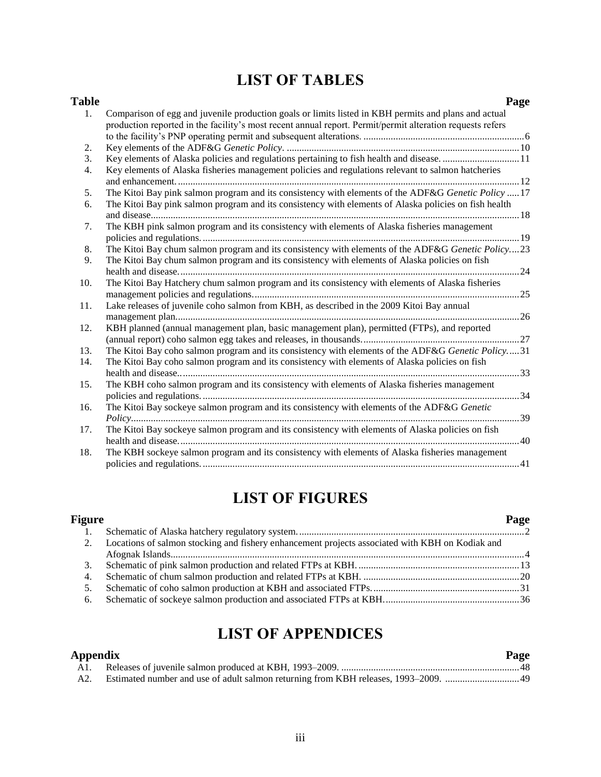# **LIST OF TABLES**

| <b>Table</b>   | Page                                                                                                      |  |
|----------------|-----------------------------------------------------------------------------------------------------------|--|
| 1 <sub>1</sub> | Comparison of egg and juvenile production goals or limits listed in KBH permits and plans and actual      |  |
|                | production reported in the facility's most recent annual report. Permit/permit alteration requests refers |  |
|                |                                                                                                           |  |
| 2.             |                                                                                                           |  |
| 3.             | Key elements of Alaska policies and regulations pertaining to fish health and disease. 11                 |  |
| 4.             | Key elements of Alaska fisheries management policies and regulations relevant to salmon hatcheries        |  |
|                |                                                                                                           |  |
| 5.             | The Kitoi Bay pink salmon program and its consistency with elements of the ADF&G Genetic Policy  17       |  |
| 6.             | The Kitoi Bay pink salmon program and its consistency with elements of Alaska policies on fish health     |  |
|                |                                                                                                           |  |
| 7.             | The KBH pink salmon program and its consistency with elements of Alaska fisheries management              |  |
|                |                                                                                                           |  |
| 8.             | The Kitoi Bay chum salmon program and its consistency with elements of the ADF&G Genetic Policy23         |  |
| 9.             | The Kitoi Bay chum salmon program and its consistency with elements of Alaska policies on fish            |  |
|                | . 24                                                                                                      |  |
| 10.            | The Kitoi Bay Hatchery chum salmon program and its consistency with elements of Alaska fisheries          |  |
|                |                                                                                                           |  |
| 11.            | Lake releases of juvenile coho salmon from KBH, as described in the 2009 Kitoi Bay annual                 |  |
|                |                                                                                                           |  |
| 12.            | KBH planned (annual management plan, basic management plan), permitted (FTPs), and reported               |  |
|                |                                                                                                           |  |
| 13.            | The Kitoi Bay coho salmon program and its consistency with elements of the ADF&G Genetic Policy31         |  |
| 14.            | The Kitoi Bay coho salmon program and its consistency with elements of Alaska policies on fish            |  |
|                |                                                                                                           |  |
| 15.            | The KBH coho salmon program and its consistency with elements of Alaska fisheries management              |  |
|                |                                                                                                           |  |
| 16.            | The Kitoi Bay sockeye salmon program and its consistency with elements of the ADF&G Genetic               |  |
|                |                                                                                                           |  |
| 17.            | The Kitoi Bay sockeye salmon program and its consistency with elements of Alaska policies on fish         |  |
|                |                                                                                                           |  |
| 18.            | The KBH sockeye salmon program and its consistency with elements of Alaska fisheries management           |  |
|                |                                                                                                           |  |

# **LIST OF FIGURES**

| Figure                                                                                             | Page |
|----------------------------------------------------------------------------------------------------|------|
|                                                                                                    |      |
| 2. Locations of salmon stocking and fishery enhancement projects associated with KBH on Kodiak and |      |
|                                                                                                    |      |
| 3.                                                                                                 |      |
|                                                                                                    |      |
|                                                                                                    |      |
| 6.                                                                                                 |      |
|                                                                                                    |      |

# **LIST OF APPENDICES**

| Appendix | Page |
|----------|------|
|          |      |
| A2.      |      |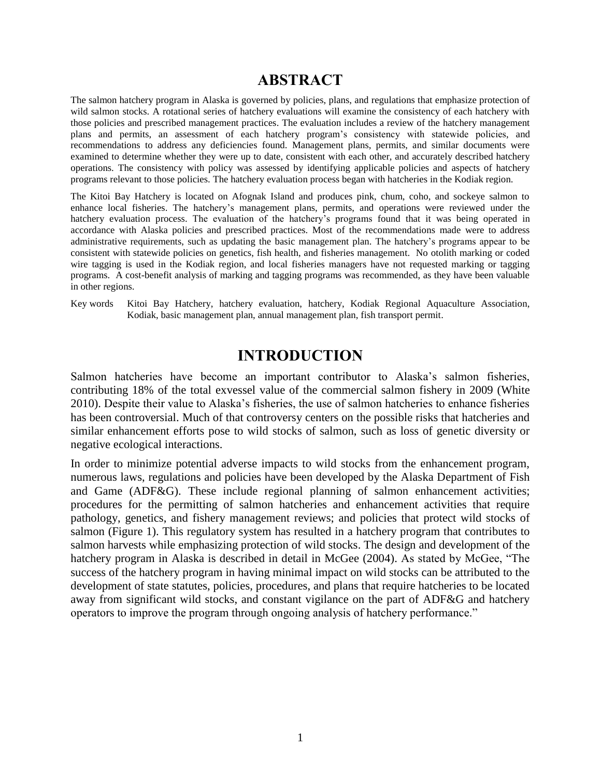# **ABSTRACT**

The salmon hatchery program in Alaska is governed by policies, plans, and regulations that emphasize protection of wild salmon stocks. A rotational series of hatchery evaluations will examine the consistency of each hatchery with those policies and prescribed management practices. The evaluation includes a review of the hatchery management plans and permits, an assessment of each hatchery program's consistency with statewide policies, and recommendations to address any deficiencies found. Management plans, permits, and similar documents were examined to determine whether they were up to date, consistent with each other, and accurately described hatchery operations. The consistency with policy was assessed by identifying applicable policies and aspects of hatchery programs relevant to those policies. The hatchery evaluation process began with hatcheries in the Kodiak region.

The Kitoi Bay Hatchery is located on Afognak Island and produces pink, chum, coho, and sockeye salmon to enhance local fisheries. The hatchery's management plans, permits, and operations were reviewed under the hatchery evaluation process. The evaluation of the hatchery's programs found that it was being operated in accordance with Alaska policies and prescribed practices. Most of the recommendations made were to address administrative requirements, such as updating the basic management plan. The hatchery's programs appear to be consistent with statewide policies on genetics, fish health, and fisheries management. No otolith marking or coded wire tagging is used in the Kodiak region, and local fisheries managers have not requested marking or tagging programs. A cost-benefit analysis of marking and tagging programs was recommended, as they have been valuable in other regions.

Key words Kitoi Bay Hatchery, hatchery evaluation, hatchery, Kodiak Regional Aquaculture Association, Kodiak, basic management plan, annual management plan, fish transport permit.

# **INTRODUCTION**

Salmon hatcheries have become an important contributor to Alaska's salmon fisheries, contributing 18% of the total exvessel value of the commercial salmon fishery in 2009 (White 2010). Despite their value to Alaska's fisheries, the use of salmon hatcheries to enhance fisheries has been controversial. Much of that controversy centers on the possible risks that hatcheries and similar enhancement efforts pose to wild stocks of salmon, such as loss of genetic diversity or negative ecological interactions.

In order to minimize potential adverse impacts to wild stocks from the enhancement program, numerous laws, regulations and policies have been developed by the Alaska Department of Fish and Game (ADF&G). These include regional planning of salmon enhancement activities; procedures for the permitting of salmon hatcheries and enhancement activities that require pathology, genetics, and fishery management reviews; and policies that protect wild stocks of salmon (Figure 1). This regulatory system has resulted in a hatchery program that contributes to salmon harvests while emphasizing protection of wild stocks. The design and development of the hatchery program in Alaska is described in detail in McGee (2004). As stated by McGee, "The success of the hatchery program in having minimal impact on wild stocks can be attributed to the development of state statutes, policies, procedures, and plans that require hatcheries to be located away from significant wild stocks, and constant vigilance on the part of ADF&G and hatchery operators to improve the program through ongoing analysis of hatchery performance."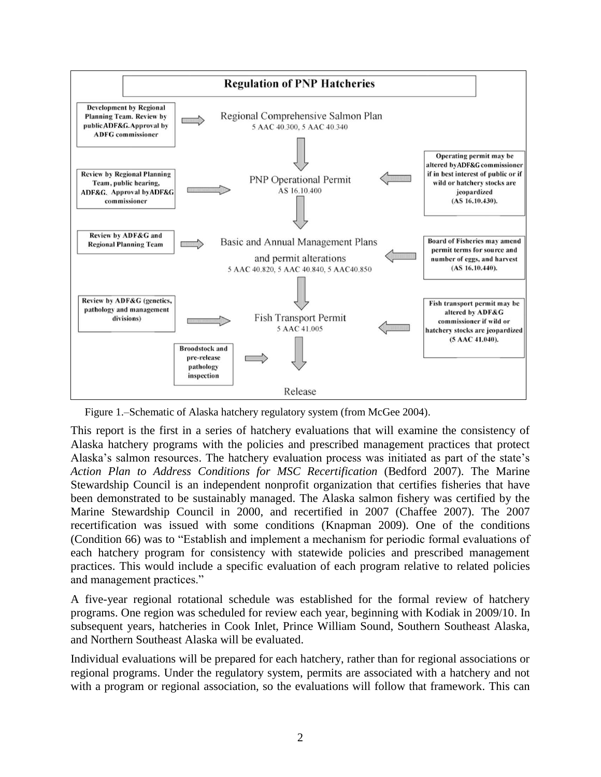

Figure 1.–Schematic of Alaska hatchery regulatory system (from McGee 2004).

This report is the first in a series of hatchery evaluations that will examine the consistency of Alaska hatchery programs with the policies and prescribed management practices that protect Alaska's salmon resources. The hatchery evaluation process was initiated as part of the state's *Action Plan to Address Conditions for MSC Recertification* (Bedford 2007). The Marine Stewardship Council is an independent nonprofit organization that certifies fisheries that have been demonstrated to be sustainably managed. The Alaska salmon fishery was certified by the Marine Stewardship Council in 2000, and recertified in 2007 (Chaffee 2007). The 2007 recertification was issued with some conditions (Knapman 2009). One of the conditions (Condition 66) was to "Establish and implement a mechanism for periodic formal evaluations of each hatchery program for consistency with statewide policies and prescribed management practices. This would include a specific evaluation of each program relative to related policies and management practices."

A five-year regional rotational schedule was established for the formal review of hatchery programs. One region was scheduled for review each year, beginning with Kodiak in 2009/10. In subsequent years, hatcheries in Cook Inlet, Prince William Sound, Southern Southeast Alaska, and Northern Southeast Alaska will be evaluated.

Individual evaluations will be prepared for each hatchery, rather than for regional associations or regional programs. Under the regulatory system, permits are associated with a hatchery and not with a program or regional association, so the evaluations will follow that framework. This can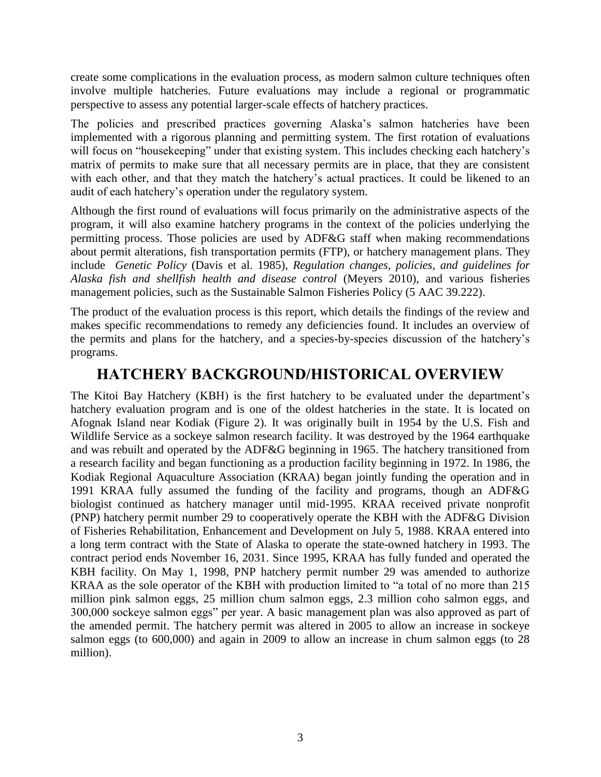create some complications in the evaluation process, as modern salmon culture techniques often involve multiple hatcheries. Future evaluations may include a regional or programmatic perspective to assess any potential larger-scale effects of hatchery practices.

The policies and prescribed practices governing Alaska's salmon hatcheries have been implemented with a rigorous planning and permitting system. The first rotation of evaluations will focus on "housekeeping" under that existing system. This includes checking each hatchery's matrix of permits to make sure that all necessary permits are in place, that they are consistent with each other, and that they match the hatchery's actual practices. It could be likened to an audit of each hatchery's operation under the regulatory system.

Although the first round of evaluations will focus primarily on the administrative aspects of the program, it will also examine hatchery programs in the context of the policies underlying the permitting process. Those policies are used by ADF&G staff when making recommendations about permit alterations, fish transportation permits (FTP), or hatchery management plans. They include *Genetic Policy* (Davis et al. 1985), *Regulation changes, policies, and guidelines for Alaska fish and shellfish health and disease control* (Meyers 2010), and various fisheries management policies, such as the Sustainable Salmon Fisheries Policy (5 AAC 39.222).

The product of the evaluation process is this report, which details the findings of the review and makes specific recommendations to remedy any deficiencies found. It includes an overview of the permits and plans for the hatchery, and a species-by-species discussion of the hatchery's programs.

# **HATCHERY BACKGROUND/HISTORICAL OVERVIEW**

The Kitoi Bay Hatchery (KBH) is the first hatchery to be evaluated under the department's hatchery evaluation program and is one of the oldest hatcheries in the state. It is located on Afognak Island near Kodiak (Figure 2). It was originally built in 1954 by the U.S. Fish and Wildlife Service as a sockeye salmon research facility. It was destroyed by the 1964 earthquake and was rebuilt and operated by the ADF&G beginning in 1965. The hatchery transitioned from a research facility and began functioning as a production facility beginning in 1972. In 1986, the Kodiak Regional Aquaculture Association (KRAA) began jointly funding the operation and in 1991 KRAA fully assumed the funding of the facility and programs, though an ADF&G biologist continued as hatchery manager until mid-1995. KRAA received private nonprofit (PNP) hatchery permit number 29 to cooperatively operate the KBH with the ADF&G Division of Fisheries Rehabilitation, Enhancement and Development on July 5, 1988. KRAA entered into a long term contract with the State of Alaska to operate the state-owned hatchery in 1993. The contract period ends November 16, 2031. Since 1995, KRAA has fully funded and operated the KBH facility. On May 1, 1998, PNP hatchery permit number 29 was amended to authorize KRAA as the sole operator of the KBH with production limited to "a total of no more than 215 million pink salmon eggs, 25 million chum salmon eggs, 2.3 million coho salmon eggs, and 300,000 sockeye salmon eggs" per year. A basic management plan was also approved as part of the amended permit. The hatchery permit was altered in 2005 to allow an increase in sockeye salmon eggs (to 600,000) and again in 2009 to allow an increase in chum salmon eggs (to 28 million).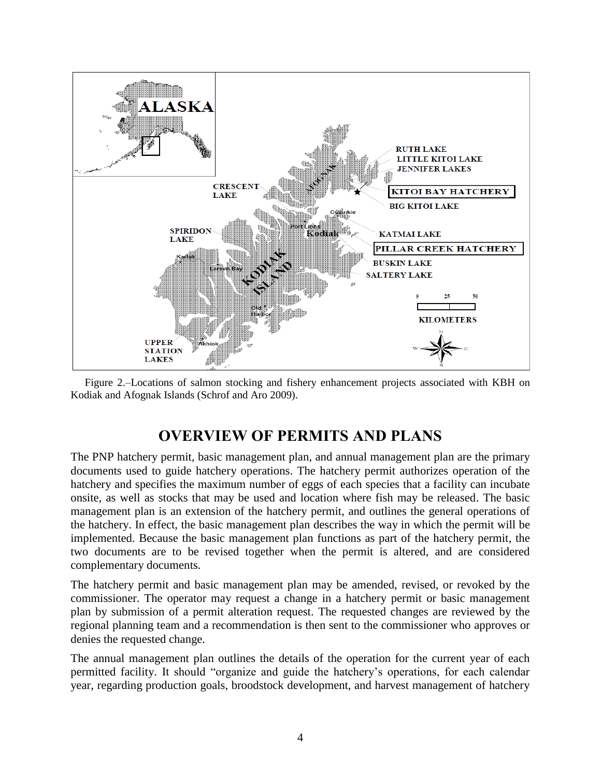

Figure 2.–Locations of salmon stocking and fishery enhancement projects associated with KBH on Kodiak and Afognak Islands (Schrof and Aro 2009).

# **OVERVIEW OF PERMITS AND PLANS**

The PNP hatchery permit, basic management plan, and annual management plan are the primary documents used to guide hatchery operations. The hatchery permit authorizes operation of the hatchery and specifies the maximum number of eggs of each species that a facility can incubate onsite, as well as stocks that may be used and location where fish may be released. The basic management plan is an extension of the hatchery permit, and outlines the general operations of the hatchery. In effect, the basic management plan describes the way in which the permit will be implemented. Because the basic management plan functions as part of the hatchery permit, the two documents are to be revised together when the permit is altered, and are considered complementary documents.

The hatchery permit and basic management plan may be amended, revised, or revoked by the commissioner. The operator may request a change in a hatchery permit or basic management plan by submission of a permit alteration request. The requested changes are reviewed by the regional planning team and a recommendation is then sent to the commissioner who approves or denies the requested change.

The annual management plan outlines the details of the operation for the current year of each permitted facility. It should "organize and guide the hatchery's operations, for each calendar year, regarding production goals, broodstock development, and harvest management of hatchery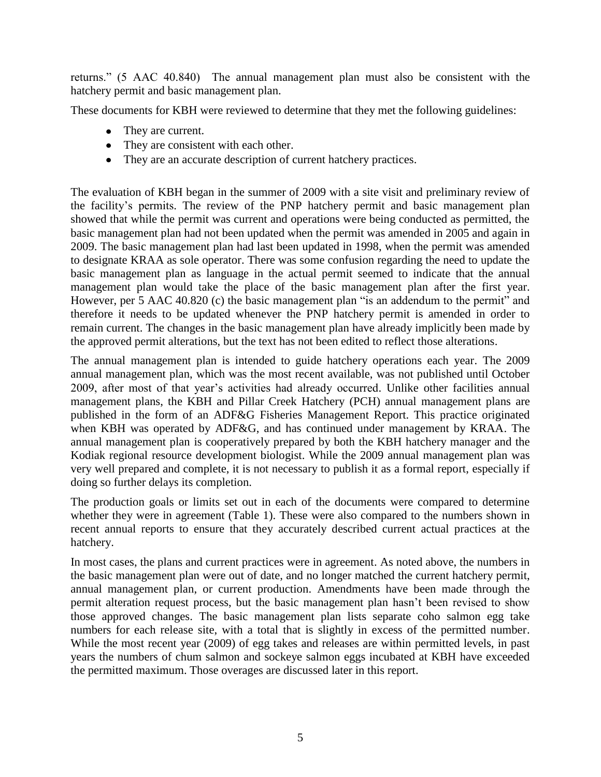returns.‖ (5 AAC 40.840) The annual management plan must also be consistent with the hatchery permit and basic management plan.

These documents for KBH were reviewed to determine that they met the following guidelines:

- They are current.
- They are consistent with each other.
- They are an accurate description of current hatchery practices.

The evaluation of KBH began in the summer of 2009 with a site visit and preliminary review of the facility's permits. The review of the PNP hatchery permit and basic management plan showed that while the permit was current and operations were being conducted as permitted, the basic management plan had not been updated when the permit was amended in 2005 and again in 2009. The basic management plan had last been updated in 1998, when the permit was amended to designate KRAA as sole operator. There was some confusion regarding the need to update the basic management plan as language in the actual permit seemed to indicate that the annual management plan would take the place of the basic management plan after the first year. However, per 5 AAC 40.820 (c) the basic management plan "is an addendum to the permit" and therefore it needs to be updated whenever the PNP hatchery permit is amended in order to remain current. The changes in the basic management plan have already implicitly been made by the approved permit alterations, but the text has not been edited to reflect those alterations.

The annual management plan is intended to guide hatchery operations each year. The 2009 annual management plan, which was the most recent available, was not published until October 2009, after most of that year's activities had already occurred. Unlike other facilities annual management plans, the KBH and Pillar Creek Hatchery (PCH) annual management plans are published in the form of an ADF&G Fisheries Management Report. This practice originated when KBH was operated by ADF&G, and has continued under management by KRAA. The annual management plan is cooperatively prepared by both the KBH hatchery manager and the Kodiak regional resource development biologist. While the 2009 annual management plan was very well prepared and complete, it is not necessary to publish it as a formal report, especially if doing so further delays its completion.

The production goals or limits set out in each of the documents were compared to determine whether they were in agreement (Table 1). These were also compared to the numbers shown in recent annual reports to ensure that they accurately described current actual practices at the hatchery.

In most cases, the plans and current practices were in agreement. As noted above, the numbers in the basic management plan were out of date, and no longer matched the current hatchery permit, annual management plan, or current production. Amendments have been made through the permit alteration request process, but the basic management plan hasn't been revised to show those approved changes. The basic management plan lists separate coho salmon egg take numbers for each release site, with a total that is slightly in excess of the permitted number. While the most recent year (2009) of egg takes and releases are within permitted levels, in past years the numbers of chum salmon and sockeye salmon eggs incubated at KBH have exceeded the permitted maximum. Those overages are discussed later in this report.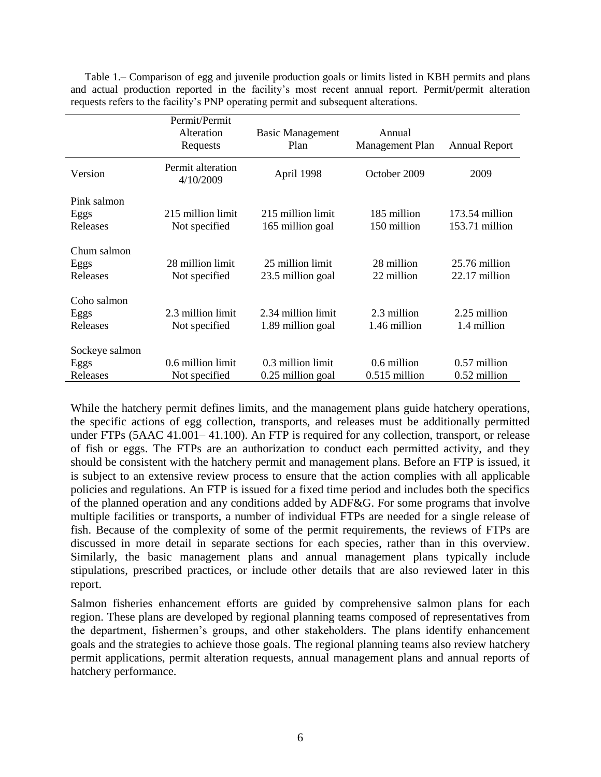|                                    | Permit/Permit<br>Alteration<br>Requests | <b>Basic Management</b><br>Plan         | Annual<br>Management Plan      | <b>Annual Report</b>             |
|------------------------------------|-----------------------------------------|-----------------------------------------|--------------------------------|----------------------------------|
| Version                            | Permit alteration<br>4/10/2009          | April 1998                              | October 2009                   | 2009                             |
| Pink salmon<br>Eggs<br>Releases    | 215 million limit<br>Not specified      | 215 million limit<br>165 million goal   | 185 million<br>150 million     | 173.54 million<br>153.71 million |
| Chum salmon<br>Eggs<br>Releases    | 28 million limit<br>Not specified       | 25 million limit<br>23.5 million goal   | 28 million<br>22 million       | 25.76 million<br>22.17 million   |
| Coho salmon<br>Eggs<br>Releases    | 2.3 million limit<br>Not specified      | 2.34 million limit<br>1.89 million goal | 2.3 million<br>1.46 million    | 2.25 million<br>1.4 million      |
| Sockeye salmon<br>Eggs<br>Releases | 0.6 million limit<br>Not specified      | 0.3 million limit<br>0.25 million goal  | 0.6 million<br>$0.515$ million | 0.57 million<br>0.52 million     |

Table 1.– Comparison of egg and juvenile production goals or limits listed in KBH permits and plans and actual production reported in the facility's most recent annual report. Permit/permit alteration requests refers to the facility's PNP operating permit and subsequent alterations.

While the hatchery permit defines limits, and the management plans guide hatchery operations, the specific actions of egg collection, transports, and releases must be additionally permitted under FTPs (5AAC 41.001– 41.100). An FTP is required for any collection, transport, or release of fish or eggs. The FTPs are an authorization to conduct each permitted activity, and they should be consistent with the hatchery permit and management plans. Before an FTP is issued, it is subject to an extensive review process to ensure that the action complies with all applicable policies and regulations. An FTP is issued for a fixed time period and includes both the specifics of the planned operation and any conditions added by ADF&G. For some programs that involve multiple facilities or transports, a number of individual FTPs are needed for a single release of fish. Because of the complexity of some of the permit requirements, the reviews of FTPs are discussed in more detail in separate sections for each species, rather than in this overview. Similarly, the basic management plans and annual management plans typically include stipulations, prescribed practices, or include other details that are also reviewed later in this report.

Salmon fisheries enhancement efforts are guided by comprehensive salmon plans for each region. These plans are developed by regional planning teams composed of representatives from the department, fishermen's groups, and other stakeholders. The plans identify enhancement goals and the strategies to achieve those goals. The regional planning teams also review hatchery permit applications, permit alteration requests, annual management plans and annual reports of hatchery performance.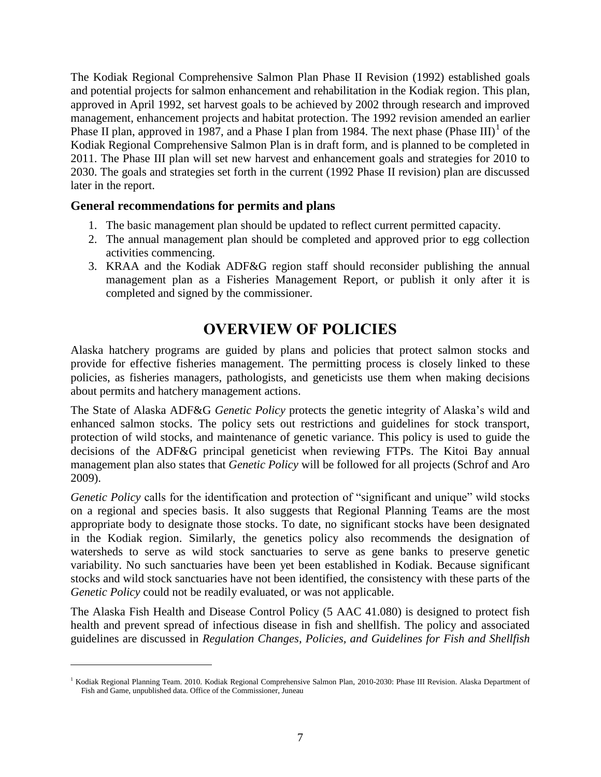The Kodiak Regional Comprehensive Salmon Plan Phase II Revision (1992) established goals and potential projects for salmon enhancement and rehabilitation in the Kodiak region. This plan, approved in April 1992, set harvest goals to be achieved by 2002 through research and improved management, enhancement projects and habitat protection. The 1992 revision amended an earlier Phase II plan, approved in 1987, and a Phase I plan from 1984. The next phase (Phase III)<sup>1</sup> of the Kodiak Regional Comprehensive Salmon Plan is in draft form, and is planned to be completed in 2011. The Phase III plan will set new harvest and enhancement goals and strategies for 2010 to 2030. The goals and strategies set forth in the current (1992 Phase II revision) plan are discussed later in the report.

#### **General recommendations for permits and plans**

 $\overline{a}$ 

- 1. The basic management plan should be updated to reflect current permitted capacity.
- 2. The annual management plan should be completed and approved prior to egg collection activities commencing.
- 3. KRAA and the Kodiak ADF&G region staff should reconsider publishing the annual management plan as a Fisheries Management Report, or publish it only after it is completed and signed by the commissioner.

# **OVERVIEW OF POLICIES**

Alaska hatchery programs are guided by plans and policies that protect salmon stocks and provide for effective fisheries management. The permitting process is closely linked to these policies, as fisheries managers, pathologists, and geneticists use them when making decisions about permits and hatchery management actions.

The State of Alaska ADF&G *Genetic Policy* protects the genetic integrity of Alaska's wild and enhanced salmon stocks. The policy sets out restrictions and guidelines for stock transport, protection of wild stocks, and maintenance of genetic variance. This policy is used to guide the decisions of the ADF&G principal geneticist when reviewing FTPs. The Kitoi Bay annual management plan also states that *Genetic Policy* will be followed for all projects (Schrof and Aro 2009).

*Genetic Policy* calls for the identification and protection of "significant and unique" wild stocks on a regional and species basis. It also suggests that Regional Planning Teams are the most appropriate body to designate those stocks. To date, no significant stocks have been designated in the Kodiak region. Similarly, the genetics policy also recommends the designation of watersheds to serve as wild stock sanctuaries to serve as gene banks to preserve genetic variability. No such sanctuaries have been yet been established in Kodiak. Because significant stocks and wild stock sanctuaries have not been identified, the consistency with these parts of the *Genetic Policy* could not be readily evaluated, or was not applicable.

The Alaska Fish Health and Disease Control Policy (5 AAC 41.080) is designed to protect fish health and prevent spread of infectious disease in fish and shellfish. The policy and associated guidelines are discussed in *Regulation Changes, Policies, and Guidelines for Fish and Shellfish* 

<sup>&</sup>lt;sup>1</sup> Kodiak Regional Planning Team. 2010. Kodiak Regional Comprehensive Salmon Plan, 2010-2030: Phase III Revision. Alaska Department of Fish and Game, unpublished data. Office of the Commissioner, Juneau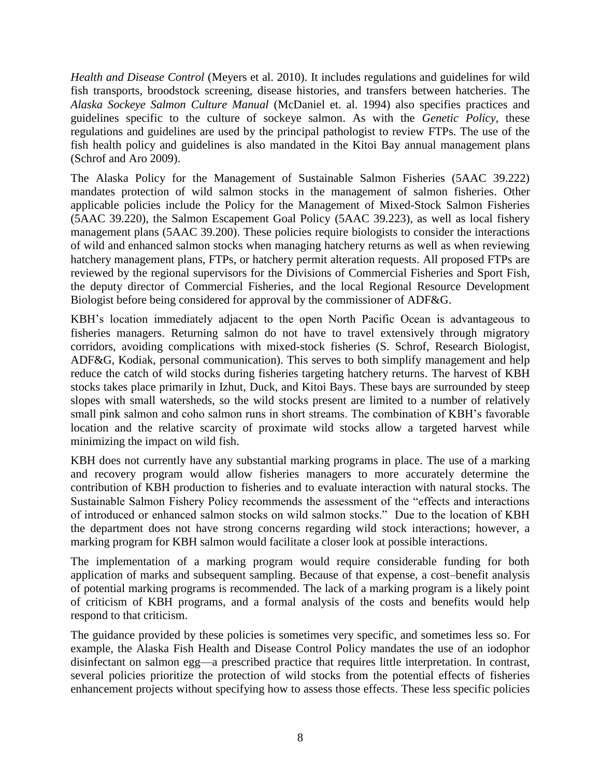*Health and Disease Control* (Meyers et al. 2010). It includes regulations and guidelines for wild fish transports, broodstock screening, disease histories, and transfers between hatcheries. The *Alaska Sockeye Salmon Culture Manual* (McDaniel et. al. 1994) also specifies practices and guidelines specific to the culture of sockeye salmon. As with the *Genetic Policy*, these regulations and guidelines are used by the principal pathologist to review FTPs. The use of the fish health policy and guidelines is also mandated in the Kitoi Bay annual management plans (Schrof and Aro 2009).

The Alaska Policy for the Management of Sustainable Salmon Fisheries (5AAC 39.222) mandates protection of wild salmon stocks in the management of salmon fisheries. Other applicable policies include the Policy for the Management of Mixed-Stock Salmon Fisheries (5AAC 39.220), the Salmon Escapement Goal Policy (5AAC 39.223), as well as local fishery management plans (5AAC 39.200). These policies require biologists to consider the interactions of wild and enhanced salmon stocks when managing hatchery returns as well as when reviewing hatchery management plans, FTPs, or hatchery permit alteration requests. All proposed FTPs are reviewed by the regional supervisors for the Divisions of Commercial Fisheries and Sport Fish, the deputy director of Commercial Fisheries, and the local Regional Resource Development Biologist before being considered for approval by the commissioner of ADF&G.

KBH's location immediately adjacent to the open North Pacific Ocean is advantageous to fisheries managers. Returning salmon do not have to travel extensively through migratory corridors, avoiding complications with mixed-stock fisheries (S. Schrof, Research Biologist, ADF&G, Kodiak, personal communication). This serves to both simplify management and help reduce the catch of wild stocks during fisheries targeting hatchery returns. The harvest of KBH stocks takes place primarily in Izhut, Duck, and Kitoi Bays. These bays are surrounded by steep slopes with small watersheds, so the wild stocks present are limited to a number of relatively small pink salmon and coho salmon runs in short streams. The combination of KBH's favorable location and the relative scarcity of proximate wild stocks allow a targeted harvest while minimizing the impact on wild fish.

KBH does not currently have any substantial marking programs in place. The use of a marking and recovery program would allow fisheries managers to more accurately determine the contribution of KBH production to fisheries and to evaluate interaction with natural stocks. The Sustainable Salmon Fishery Policy recommends the assessment of the "effects and interactions of introduced or enhanced salmon stocks on wild salmon stocks." Due to the location of KBH the department does not have strong concerns regarding wild stock interactions; however, a marking program for KBH salmon would facilitate a closer look at possible interactions.

The implementation of a marking program would require considerable funding for both application of marks and subsequent sampling. Because of that expense, a cost–benefit analysis of potential marking programs is recommended. The lack of a marking program is a likely point of criticism of KBH programs, and a formal analysis of the costs and benefits would help respond to that criticism.

The guidance provided by these policies is sometimes very specific, and sometimes less so. For example, the Alaska Fish Health and Disease Control Policy mandates the use of an iodophor disinfectant on salmon egg—a prescribed practice that requires little interpretation. In contrast, several policies prioritize the protection of wild stocks from the potential effects of fisheries enhancement projects without specifying how to assess those effects. These less specific policies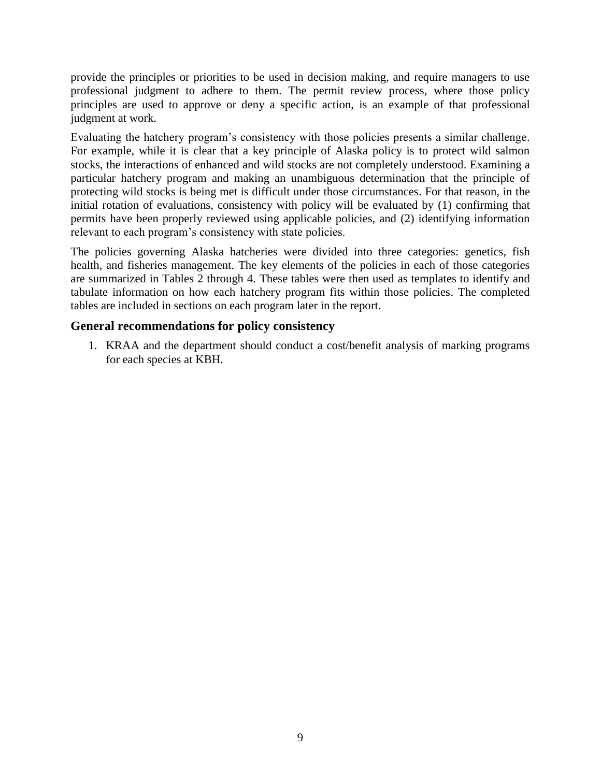provide the principles or priorities to be used in decision making, and require managers to use professional judgment to adhere to them. The permit review process, where those policy principles are used to approve or deny a specific action, is an example of that professional judgment at work.

Evaluating the hatchery program's consistency with those policies presents a similar challenge. For example, while it is clear that a key principle of Alaska policy is to protect wild salmon stocks, the interactions of enhanced and wild stocks are not completely understood. Examining a particular hatchery program and making an unambiguous determination that the principle of protecting wild stocks is being met is difficult under those circumstances. For that reason, in the initial rotation of evaluations, consistency with policy will be evaluated by (1) confirming that permits have been properly reviewed using applicable policies, and (2) identifying information relevant to each program's consistency with state policies.

The policies governing Alaska hatcheries were divided into three categories: genetics, fish health, and fisheries management. The key elements of the policies in each of those categories are summarized in Tables 2 through 4. These tables were then used as templates to identify and tabulate information on how each hatchery program fits within those policies. The completed tables are included in sections on each program later in the report.

### **General recommendations for policy consistency**

1. KRAA and the department should conduct a cost/benefit analysis of marking programs for each species at KBH.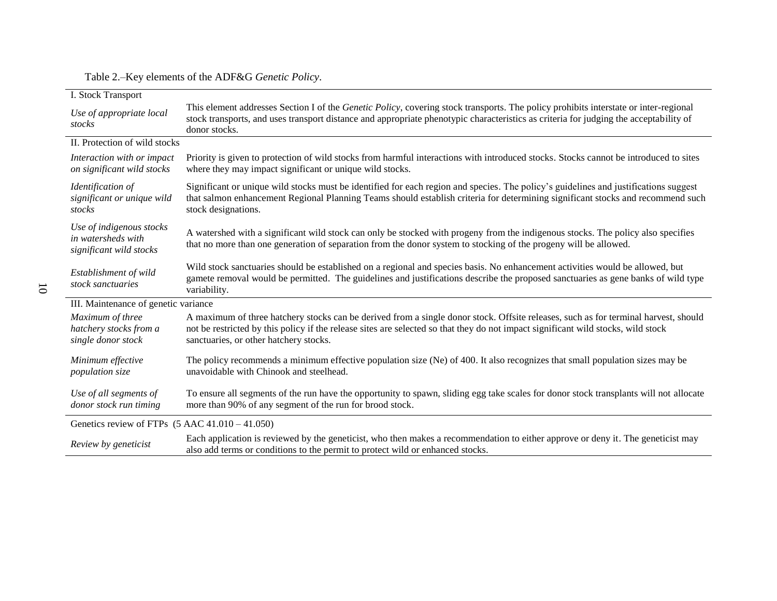#### Table 2.–Key elements of the ADF&G *Genetic Policy*.

| I. Stock Transport                                                        |                                                                                                                                                                                                                                                                                                                    |
|---------------------------------------------------------------------------|--------------------------------------------------------------------------------------------------------------------------------------------------------------------------------------------------------------------------------------------------------------------------------------------------------------------|
| Use of appropriate local<br>stocks                                        | This element addresses Section I of the <i>Genetic Policy</i> , covering stock transports. The policy prohibits interstate or inter-regional<br>stock transports, and uses transport distance and appropriate phenotypic characteristics as criteria for judging the acceptability of<br>donor stocks.             |
| II. Protection of wild stocks                                             |                                                                                                                                                                                                                                                                                                                    |
| Interaction with or impact<br>on significant wild stocks                  | Priority is given to protection of wild stocks from harmful interactions with introduced stocks. Stocks cannot be introduced to sites<br>where they may impact significant or unique wild stocks.                                                                                                                  |
| Identification of<br>significant or unique wild<br>stocks                 | Significant or unique wild stocks must be identified for each region and species. The policy's guidelines and justifications suggest<br>that salmon enhancement Regional Planning Teams should establish criteria for determining significant stocks and recommend such<br>stock designations.                     |
| Use of indigenous stocks<br>in watersheds with<br>significant wild stocks | A watershed with a significant wild stock can only be stocked with progeny from the indigenous stocks. The policy also specifies<br>that no more than one generation of separation from the donor system to stocking of the progeny will be allowed.                                                               |
| Establishment of wild<br>stock sanctuaries                                | Wild stock sanctuaries should be established on a regional and species basis. No enhancement activities would be allowed, but<br>gamete removal would be permitted. The guidelines and justifications describe the proposed sanctuaries as gene banks of wild type<br>variability.                                 |
| III. Maintenance of genetic variance                                      |                                                                                                                                                                                                                                                                                                                    |
| Maximum of three<br>hatchery stocks from a<br>single donor stock          | A maximum of three hatchery stocks can be derived from a single donor stock. Offsite releases, such as for terminal harvest, should<br>not be restricted by this policy if the release sites are selected so that they do not impact significant wild stocks, wild stock<br>sanctuaries, or other hatchery stocks. |
| Minimum effective<br>population size                                      | The policy recommends a minimum effective population size (Ne) of 400. It also recognizes that small population sizes may be<br>unavoidable with Chinook and steelhead.                                                                                                                                            |
| Use of all segments of<br>donor stock run timing                          | To ensure all segments of the run have the opportunity to spawn, sliding egg take scales for donor stock transplants will not allocate<br>more than 90% of any segment of the run for brood stock.                                                                                                                 |
| Genetics review of FTPs $(5 \text{ AAC } 41.010 - 41.050)$                |                                                                                                                                                                                                                                                                                                                    |
| Review by geneticist                                                      | Each application is reviewed by the geneticist, who then makes a recommendation to either approve or deny it. The geneticist may<br>also add terms or conditions to the permit to protect wild or enhanced stocks.                                                                                                 |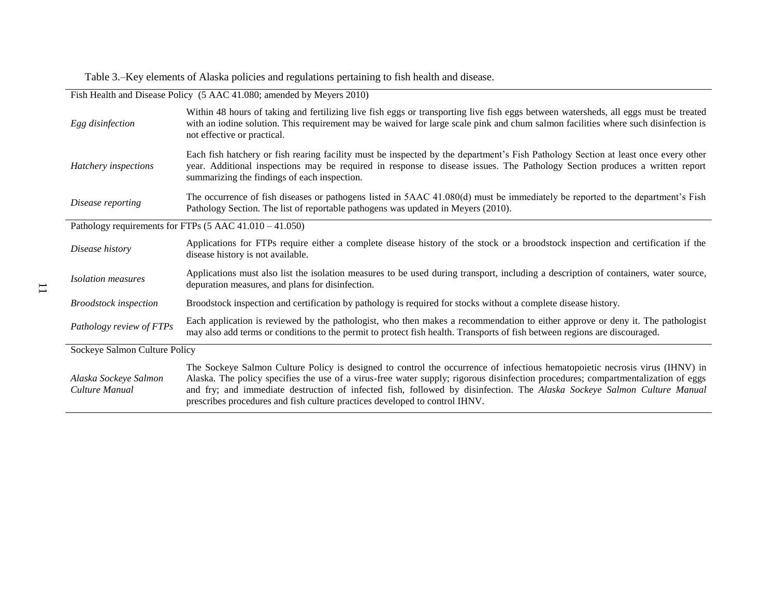Table 3.–Key elements of Alaska policies and regulations pertaining to fish health and disease.

| Fish Health and Disease Policy (5 AAC 41.080; amended by Meyers 2010) |                                                                                                                                                                                                                                                                                                                                                                                                                                                                             |  |
|-----------------------------------------------------------------------|-----------------------------------------------------------------------------------------------------------------------------------------------------------------------------------------------------------------------------------------------------------------------------------------------------------------------------------------------------------------------------------------------------------------------------------------------------------------------------|--|
| Egg disinfection                                                      | Within 48 hours of taking and fertilizing live fish eggs or transporting live fish eggs between watersheds, all eggs must be treated<br>with an iodine solution. This requirement may be waived for large scale pink and chum salmon facilities where such disinfection is<br>not effective or practical.                                                                                                                                                                   |  |
| Hatchery inspections                                                  | Each fish hatchery or fish rearing facility must be inspected by the department's Fish Pathology Section at least once every other<br>year. Additional inspections may be required in response to disease issues. The Pathology Section produces a written report<br>summarizing the findings of each inspection.                                                                                                                                                           |  |
| Disease reporting                                                     | The occurrence of fish diseases or pathogens listed in 5AAC 41.080(d) must be immediately be reported to the department's Fish<br>Pathology Section. The list of reportable pathogens was updated in Meyers (2010).                                                                                                                                                                                                                                                         |  |
|                                                                       | Pathology requirements for FTPs $(5 \text{ AAC } 41.010 - 41.050)$                                                                                                                                                                                                                                                                                                                                                                                                          |  |
| Disease history                                                       | Applications for FTPs require either a complete disease history of the stock or a broodstock inspection and certification if the<br>disease history is not available.                                                                                                                                                                                                                                                                                                       |  |
| <b>Isolation</b> measures                                             | Applications must also list the isolation measures to be used during transport, including a description of containers, water source,<br>depuration measures, and plans for disinfection.                                                                                                                                                                                                                                                                                    |  |
| <b>Broodstock</b> inspection                                          | Broodstock inspection and certification by pathology is required for stocks without a complete disease history.                                                                                                                                                                                                                                                                                                                                                             |  |
| Pathology review of FTPs                                              | Each application is reviewed by the pathologist, who then makes a recommendation to either approve or deny it. The pathologist<br>may also add terms or conditions to the permit to protect fish health. Transports of fish between regions are discouraged.                                                                                                                                                                                                                |  |
| Sockeye Salmon Culture Policy                                         |                                                                                                                                                                                                                                                                                                                                                                                                                                                                             |  |
| Alaska Sockeye Salmon<br>Culture Manual                               | The Sockeye Salmon Culture Policy is designed to control the occurrence of infectious hematopoietic necrosis virus (IHNV) in<br>Alaska. The policy specifies the use of a virus-free water supply; rigorous disinfection procedures; compartmentalization of eggs<br>and fry; and immediate destruction of infected fish, followed by disinfection. The Alaska Sockeye Salmon Culture Manual<br>prescribes procedures and fish culture practices developed to control IHNV. |  |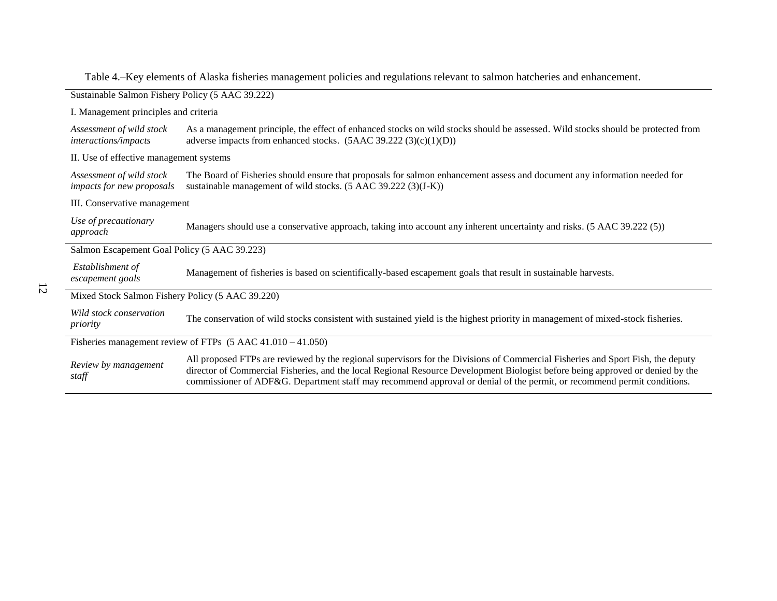| Sustainable Salmon Fishery Policy (5 AAC 39.222)                       |                                                                                                                                                                                                                                                                                                                                                                                              |  |
|------------------------------------------------------------------------|----------------------------------------------------------------------------------------------------------------------------------------------------------------------------------------------------------------------------------------------------------------------------------------------------------------------------------------------------------------------------------------------|--|
| I. Management principles and criteria                                  |                                                                                                                                                                                                                                                                                                                                                                                              |  |
| Assessment of wild stock<br>interactions/impacts                       | As a management principle, the effect of enhanced stocks on wild stocks should be assessed. Wild stocks should be protected from<br>adverse impacts from enhanced stocks. $(5AAC 39.222 (3)(c)(1)(D))$                                                                                                                                                                                       |  |
| II. Use of effective management systems                                |                                                                                                                                                                                                                                                                                                                                                                                              |  |
| Assessment of wild stock<br><i>impacts for new proposals</i>           | The Board of Fisheries should ensure that proposals for salmon enhancement assess and document any information needed for<br>sustainable management of wild stocks. $(5 \text{ AAC } 39.222 (3)(J-K))$                                                                                                                                                                                       |  |
| III. Conservative management                                           |                                                                                                                                                                                                                                                                                                                                                                                              |  |
| Use of precautionary<br>approach                                       | Managers should use a conservative approach, taking into account any inherent uncertainty and risks. (5 AAC 39.222 (5))                                                                                                                                                                                                                                                                      |  |
| Salmon Escapement Goal Policy (5 AAC 39.223)                           |                                                                                                                                                                                                                                                                                                                                                                                              |  |
| Establishment of<br>escapement goals                                   | Management of fisheries is based on scientifically-based escapement goals that result in sustainable harvests.                                                                                                                                                                                                                                                                               |  |
| Mixed Stock Salmon Fishery Policy (5 AAC 39.220)                       |                                                                                                                                                                                                                                                                                                                                                                                              |  |
| Wild stock conservation<br>priority                                    | The conservation of wild stocks consistent with sustained yield is the highest priority in management of mixed-stock fisheries.                                                                                                                                                                                                                                                              |  |
| Fisheries management review of FTPs $(5 \text{ AAC } 41.010 - 41.050)$ |                                                                                                                                                                                                                                                                                                                                                                                              |  |
| Review by management<br>staff                                          | All proposed FTPs are reviewed by the regional supervisors for the Divisions of Commercial Fisheries and Sport Fish, the deputy<br>director of Commercial Fisheries, and the local Regional Resource Development Biologist before being approved or denied by the<br>commissioner of ADF&G. Department staff may recommend approval or denial of the permit, or recommend permit conditions. |  |

Table 4.–Key elements of Alaska fisheries management policies and regulations relevant to salmon hatcheries and enhancement.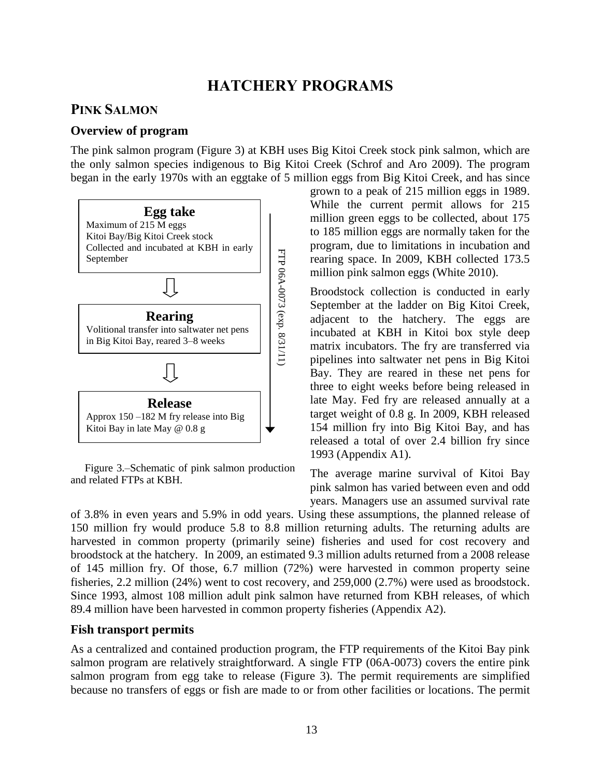# **HATCHERY PROGRAMS**

# **PINK SALMON**

#### **Overview of program**

The pink salmon program (Figure 3) at KBH uses Big Kitoi Creek stock pink salmon, which are the only salmon species indigenous to Big Kitoi Creek (Schrof and Aro 2009). The program began in the early 1970s with an eggtake of 5 million eggs from Big Kitoi Creek, and has since



Figure 3.–Schematic of pink salmon production and related FTPs at KBH.

grown to a peak of 215 million eggs in 1989. While the current permit allows for 215 million green eggs to be collected, about 175 to 185 million eggs are normally taken for the program, due to limitations in incubation and rearing space. In 2009, KBH collected 173.5 million pink salmon eggs (White 2010).

Broodstock collection is conducted in early September at the ladder on Big Kitoi Creek, adjacent to the hatchery. The eggs are incubated at KBH in Kitoi box style deep matrix incubators. The fry are transferred via pipelines into saltwater net pens in Big Kitoi Bay. They are reared in these net pens for three to eight weeks before being released in late May. Fed fry are released annually at a target weight of 0.8 g. In 2009, KBH released 154 million fry into Big Kitoi Bay, and has released a total of over 2.4 billion fry since 1993 (Appendix A1).

The average marine survival of Kitoi Bay pink salmon has varied between even and odd years. Managers use an assumed survival rate

of 3.8% in even years and 5.9% in odd years. Using these assumptions, the planned release of 150 million fry would produce 5.8 to 8.8 million returning adults. The returning adults are harvested in common property (primarily seine) fisheries and used for cost recovery and broodstock at the hatchery. In 2009, an estimated 9.3 million adults returned from a 2008 release of 145 million fry. Of those, 6.7 million (72%) were harvested in common property seine fisheries, 2.2 million (24%) went to cost recovery, and 259,000 (2.7%) were used as broodstock. Since 1993, almost 108 million adult pink salmon have returned from KBH releases, of which 89.4 million have been harvested in common property fisheries (Appendix A2).

#### **Fish transport permits**

As a centralized and contained production program, the FTP requirements of the Kitoi Bay pink salmon program are relatively straightforward. A single FTP (06A-0073) covers the entire pink salmon program from egg take to release (Figure 3). The permit requirements are simplified because no transfers of eggs or fish are made to or from other facilities or locations. The permit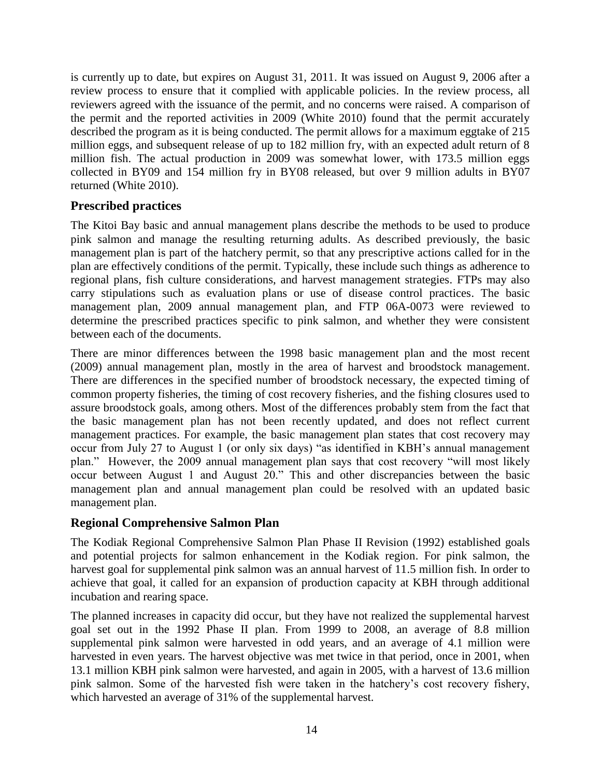is currently up to date, but expires on August 31, 2011. It was issued on August 9, 2006 after a review process to ensure that it complied with applicable policies. In the review process, all reviewers agreed with the issuance of the permit, and no concerns were raised. A comparison of the permit and the reported activities in 2009 (White 2010) found that the permit accurately described the program as it is being conducted. The permit allows for a maximum eggtake of 215 million eggs, and subsequent release of up to 182 million fry, with an expected adult return of 8 million fish. The actual production in 2009 was somewhat lower, with 173.5 million eggs collected in BY09 and 154 million fry in BY08 released, but over 9 million adults in BY07 returned (White 2010).

### **Prescribed practices**

The Kitoi Bay basic and annual management plans describe the methods to be used to produce pink salmon and manage the resulting returning adults. As described previously, the basic management plan is part of the hatchery permit, so that any prescriptive actions called for in the plan are effectively conditions of the permit. Typically, these include such things as adherence to regional plans, fish culture considerations, and harvest management strategies. FTPs may also carry stipulations such as evaluation plans or use of disease control practices. The basic management plan, 2009 annual management plan, and FTP 06A-0073 were reviewed to determine the prescribed practices specific to pink salmon, and whether they were consistent between each of the documents.

There are minor differences between the 1998 basic management plan and the most recent (2009) annual management plan, mostly in the area of harvest and broodstock management. There are differences in the specified number of broodstock necessary, the expected timing of common property fisheries, the timing of cost recovery fisheries, and the fishing closures used to assure broodstock goals, among others. Most of the differences probably stem from the fact that the basic management plan has not been recently updated, and does not reflect current management practices. For example, the basic management plan states that cost recovery may occur from July 27 to August 1 (or only six days) "as identified in KBH's annual management plan." However, the 2009 annual management plan says that cost recovery "will most likely occur between August 1 and August 20." This and other discrepancies between the basic management plan and annual management plan could be resolved with an updated basic management plan.

# **Regional Comprehensive Salmon Plan**

The Kodiak Regional Comprehensive Salmon Plan Phase II Revision (1992) established goals and potential projects for salmon enhancement in the Kodiak region. For pink salmon, the harvest goal for supplemental pink salmon was an annual harvest of 11.5 million fish. In order to achieve that goal, it called for an expansion of production capacity at KBH through additional incubation and rearing space.

The planned increases in capacity did occur, but they have not realized the supplemental harvest goal set out in the 1992 Phase II plan. From 1999 to 2008, an average of 8.8 million supplemental pink salmon were harvested in odd years, and an average of 4.1 million were harvested in even years. The harvest objective was met twice in that period, once in 2001, when 13.1 million KBH pink salmon were harvested, and again in 2005, with a harvest of 13.6 million pink salmon. Some of the harvested fish were taken in the hatchery's cost recovery fishery, which harvested an average of 31% of the supplemental harvest.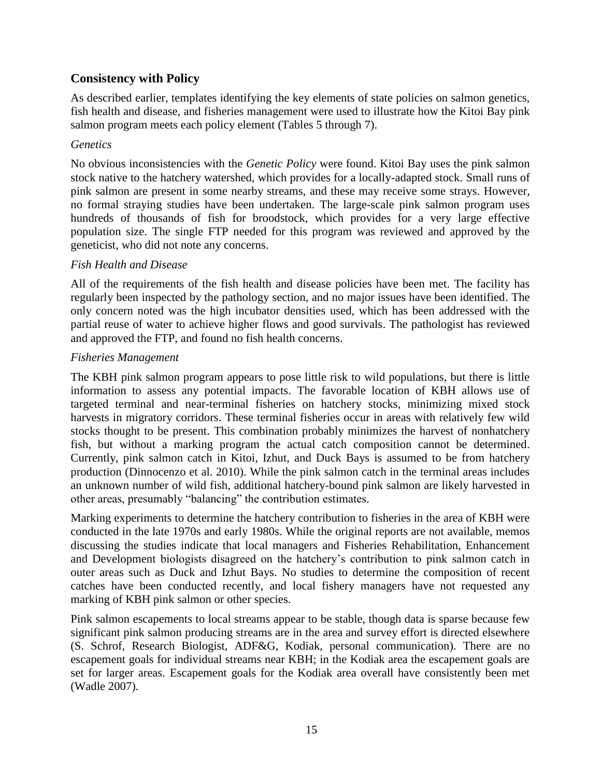### **Consistency with Policy**

As described earlier, templates identifying the key elements of state policies on salmon genetics, fish health and disease, and fisheries management were used to illustrate how the Kitoi Bay pink salmon program meets each policy element (Tables 5 through 7).

#### *Genetics*

No obvious inconsistencies with the *Genetic Policy* were found. Kitoi Bay uses the pink salmon stock native to the hatchery watershed, which provides for a locally-adapted stock. Small runs of pink salmon are present in some nearby streams, and these may receive some strays. However, no formal straying studies have been undertaken. The large-scale pink salmon program uses hundreds of thousands of fish for broodstock, which provides for a very large effective population size. The single FTP needed for this program was reviewed and approved by the geneticist, who did not note any concerns.

#### *Fish Health and Disease*

All of the requirements of the fish health and disease policies have been met. The facility has regularly been inspected by the pathology section, and no major issues have been identified. The only concern noted was the high incubator densities used, which has been addressed with the partial reuse of water to achieve higher flows and good survivals. The pathologist has reviewed and approved the FTP, and found no fish health concerns.

#### *Fisheries Management*

The KBH pink salmon program appears to pose little risk to wild populations, but there is little information to assess any potential impacts. The favorable location of KBH allows use of targeted terminal and near-terminal fisheries on hatchery stocks, minimizing mixed stock harvests in migratory corridors. These terminal fisheries occur in areas with relatively few wild stocks thought to be present. This combination probably minimizes the harvest of nonhatchery fish, but without a marking program the actual catch composition cannot be determined. Currently, pink salmon catch in Kitoi, Izhut, and Duck Bays is assumed to be from hatchery production (Dinnocenzo et al. 2010). While the pink salmon catch in the terminal areas includes an unknown number of wild fish, additional hatchery-bound pink salmon are likely harvested in other areas, presumably "balancing" the contribution estimates.

Marking experiments to determine the hatchery contribution to fisheries in the area of KBH were conducted in the late 1970s and early 1980s. While the original reports are not available, memos discussing the studies indicate that local managers and Fisheries Rehabilitation, Enhancement and Development biologists disagreed on the hatchery's contribution to pink salmon catch in outer areas such as Duck and Izhut Bays. No studies to determine the composition of recent catches have been conducted recently, and local fishery managers have not requested any marking of KBH pink salmon or other species.

Pink salmon escapements to local streams appear to be stable, though data is sparse because few significant pink salmon producing streams are in the area and survey effort is directed elsewhere (S. Schrof, Research Biologist, ADF&G, Kodiak, personal communication). There are no escapement goals for individual streams near KBH; in the Kodiak area the escapement goals are set for larger areas. Escapement goals for the Kodiak area overall have consistently been met (Wadle 2007).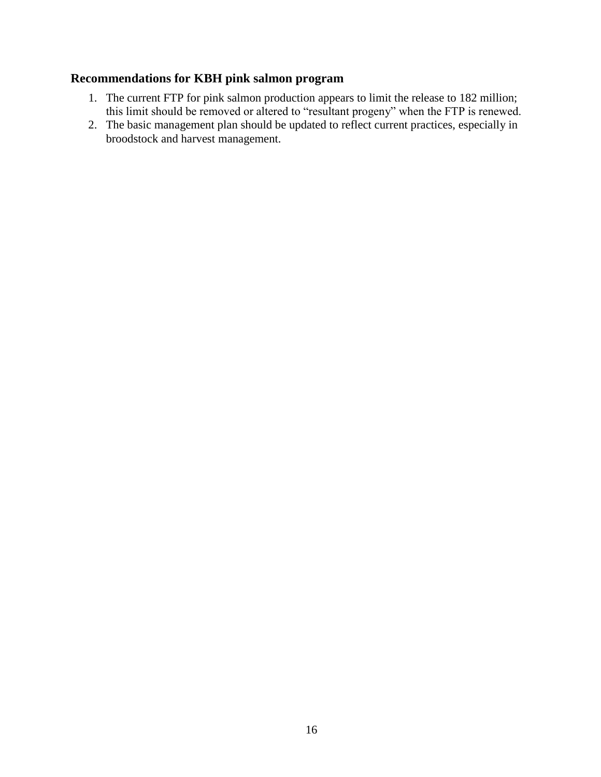### **Recommendations for KBH pink salmon program**

- 1. The current FTP for pink salmon production appears to limit the release to 182 million; this limit should be removed or altered to "resultant progeny" when the FTP is renewed.
- 2. The basic management plan should be updated to reflect current practices, especially in broodstock and harvest management.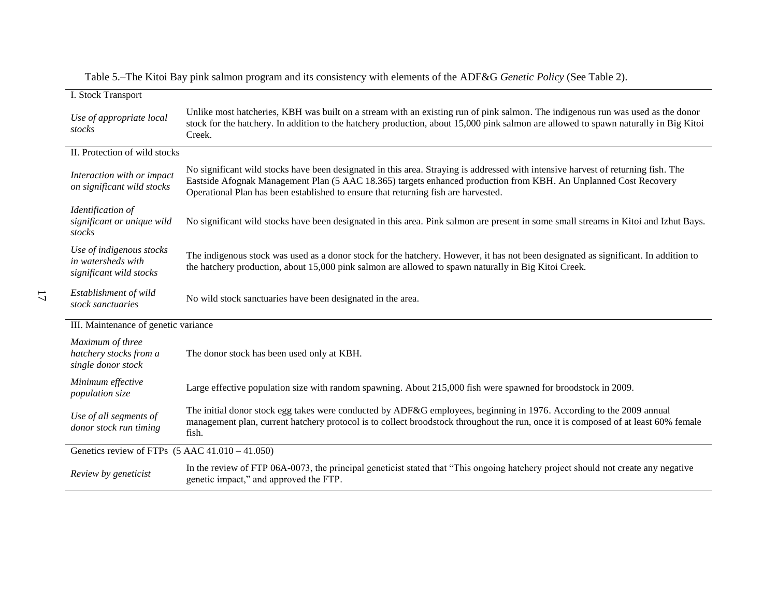| Table 5.–The Kitoi Bay pink salmon program and its consistency with elements of the ADF&G Genetic Policy (See Table 2). |  |
|-------------------------------------------------------------------------------------------------------------------------|--|
|                                                                                                                         |  |

| I. Stock Transport                                                        |                                                                                                                                                                                                                                                                                                                                             |
|---------------------------------------------------------------------------|---------------------------------------------------------------------------------------------------------------------------------------------------------------------------------------------------------------------------------------------------------------------------------------------------------------------------------------------|
| Use of appropriate local<br>stocks                                        | Unlike most hatcheries, KBH was built on a stream with an existing run of pink salmon. The indigenous run was used as the donor<br>stock for the hatchery. In addition to the hatchery production, about 15,000 pink salmon are allowed to spawn naturally in Big Kitoi<br>Creek.                                                           |
| II. Protection of wild stocks                                             |                                                                                                                                                                                                                                                                                                                                             |
| Interaction with or impact<br>on significant wild stocks                  | No significant wild stocks have been designated in this area. Straying is addressed with intensive harvest of returning fish. The<br>Eastside Afognak Management Plan (5 AAC 18.365) targets enhanced production from KBH. An Unplanned Cost Recovery<br>Operational Plan has been established to ensure that returning fish are harvested. |
| Identification of<br>significant or unique wild<br>stocks                 | No significant wild stocks have been designated in this area. Pink salmon are present in some small streams in Kitoi and Izhut Bays.                                                                                                                                                                                                        |
| Use of indigenous stocks<br>in watersheds with<br>significant wild stocks | The indigenous stock was used as a donor stock for the hatchery. However, it has not been designated as significant. In addition to<br>the hatchery production, about 15,000 pink salmon are allowed to spawn naturally in Big Kitoi Creek.                                                                                                 |
| Establishment of wild<br>11<br>stock sanctuaries                          | No wild stock sanctuaries have been designated in the area.                                                                                                                                                                                                                                                                                 |
| III. Maintenance of genetic variance                                      |                                                                                                                                                                                                                                                                                                                                             |
| Maximum of three<br>hatchery stocks from a<br>single donor stock          | The donor stock has been used only at KBH.                                                                                                                                                                                                                                                                                                  |
| Minimum effective<br>population size                                      | Large effective population size with random spawning. About 215,000 fish were spawned for broodstock in 2009.                                                                                                                                                                                                                               |
| Use of all segments of<br>donor stock run timing                          | The initial donor stock egg takes were conducted by ADF&G employees, beginning in 1976. According to the 2009 annual<br>management plan, current hatchery protocol is to collect broodstock throughout the run, once it is composed of at least 60% female<br>fish.                                                                         |
| Genetics review of FTPs $(5 \text{ AAC } 41.010 - 41.050)$                |                                                                                                                                                                                                                                                                                                                                             |
| Review by geneticist                                                      | In the review of FTP 06A-0073, the principal geneticist stated that "This ongoing hatchery project should not create any negative<br>genetic impact," and approved the FTP.                                                                                                                                                                 |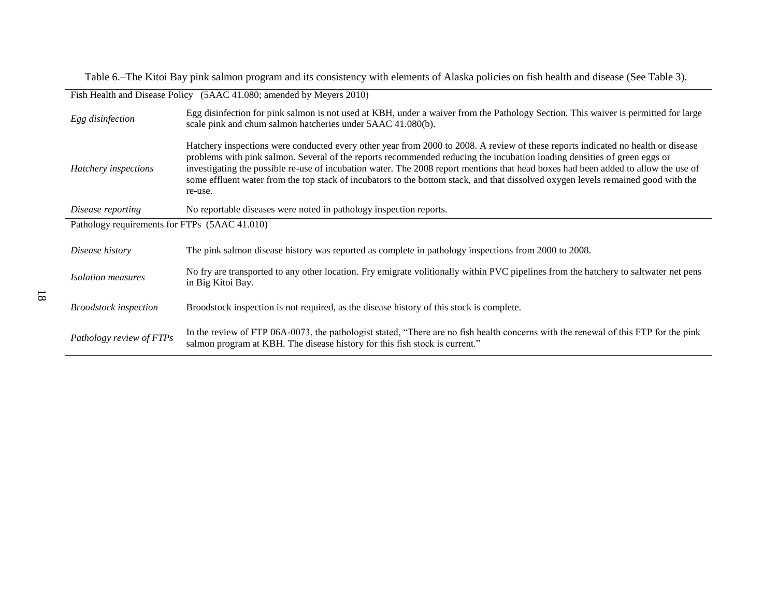Table 6.–The Kitoi Bay pink salmon program and its consistency with elements of Alaska policies on fish health and disease (See Table 3).

| Fish Health and Disease Policy (5AAC 41.080; amended by Meyers 2010) |                                                                                                                                                                                                                                                                                                                                                                                                                                                                                                                                                    |  |
|----------------------------------------------------------------------|----------------------------------------------------------------------------------------------------------------------------------------------------------------------------------------------------------------------------------------------------------------------------------------------------------------------------------------------------------------------------------------------------------------------------------------------------------------------------------------------------------------------------------------------------|--|
| Egg disinfection                                                     | Egg disinfection for pink salmon is not used at KBH, under a waiver from the Pathology Section. This waiver is permitted for large<br>scale pink and chum salmon hatcheries under 5AAC 41.080(b).                                                                                                                                                                                                                                                                                                                                                  |  |
| Hatchery inspections                                                 | Hatchery inspections were conducted every other year from 2000 to 2008. A review of these reports indicated no health or disease<br>problems with pink salmon. Several of the reports recommended reducing the incubation loading densities of green eggs or<br>investigating the possible re-use of incubation water. The 2008 report mentions that head boxes had been added to allow the use of<br>some effluent water from the top stack of incubators to the bottom stack, and that dissolved oxygen levels remained good with the<br>re-use. |  |
| Disease reporting                                                    | No reportable diseases were noted in pathology inspection reports.                                                                                                                                                                                                                                                                                                                                                                                                                                                                                 |  |
| Pathology requirements for FTPs (5AAC 41.010)                        |                                                                                                                                                                                                                                                                                                                                                                                                                                                                                                                                                    |  |
| Disease history                                                      | The pink salmon disease history was reported as complete in pathology inspections from 2000 to 2008.                                                                                                                                                                                                                                                                                                                                                                                                                                               |  |
| <i>Isolation measures</i>                                            | No fry are transported to any other location. Fry emigrate volitionally within PVC pipelines from the hatchery to saltwater net pens<br>in Big Kitoi Bay.                                                                                                                                                                                                                                                                                                                                                                                          |  |
| <b>Broodstock</b> inspection                                         | Broodstock inspection is not required, as the disease history of this stock is complete.                                                                                                                                                                                                                                                                                                                                                                                                                                                           |  |
| Pathology review of FTPs                                             | In the review of FTP 06A-0073, the pathologist stated, "There are no fish health concerns with the renewal of this FTP for the pink<br>salmon program at KBH. The disease history for this fish stock is current."                                                                                                                                                                                                                                                                                                                                 |  |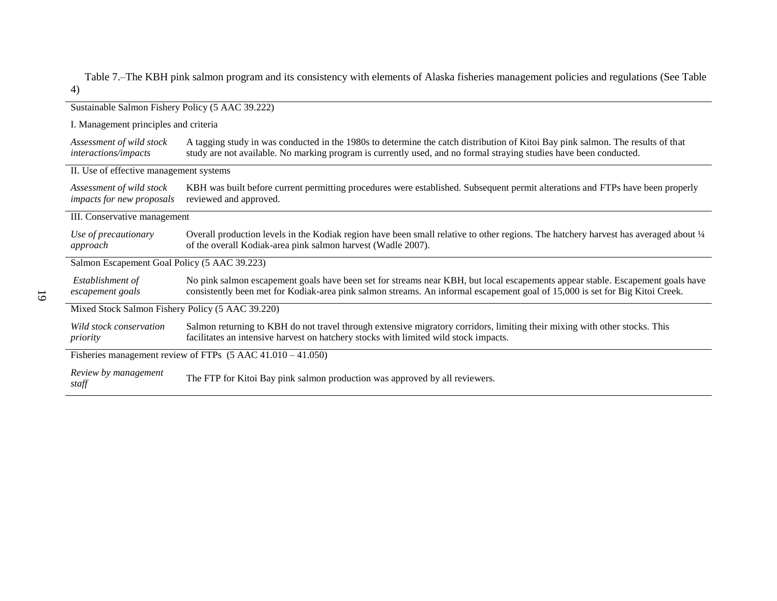Table 7.–The KBH pink salmon program and its consistency with elements of Alaska fisheries management policies and regulations (See Table 4)

| Sustainable Salmon Fishery Policy (5 AAC 39.222)                       |                                                                                                                                                                                                                                                                |  |  |
|------------------------------------------------------------------------|----------------------------------------------------------------------------------------------------------------------------------------------------------------------------------------------------------------------------------------------------------------|--|--|
|                                                                        | I. Management principles and criteria                                                                                                                                                                                                                          |  |  |
| Assessment of wild stock<br><i>interactions/impacts</i>                | A tagging study in was conducted in the 1980s to determine the catch distribution of Kitoi Bay pink salmon. The results of that<br>study are not available. No marking program is currently used, and no formal straying studies have been conducted.          |  |  |
| II. Use of effective management systems                                |                                                                                                                                                                                                                                                                |  |  |
| Assessment of wild stock<br>impacts for new proposals                  | KBH was built before current permitting procedures were established. Subsequent permit alterations and FTPs have been properly<br>reviewed and approved.                                                                                                       |  |  |
| III. Conservative management                                           |                                                                                                                                                                                                                                                                |  |  |
| Use of precautionary<br>approach                                       | Overall production levels in the Kodiak region have been small relative to other regions. The hatchery harvest has averaged about 1/4<br>of the overall Kodiak-area pink salmon harvest (Wadle 2007).                                                          |  |  |
| Salmon Escapement Goal Policy (5 AAC 39.223)                           |                                                                                                                                                                                                                                                                |  |  |
| Establishment of<br>escapement goals                                   | No pink salmon escapement goals have been set for streams near KBH, but local escapements appear stable. Escapement goals have<br>consistently been met for Kodiak-area pink salmon streams. An informal escapement goal of 15,000 is set for Big Kitoi Creek. |  |  |
| Mixed Stock Salmon Fishery Policy (5 AAC 39.220)                       |                                                                                                                                                                                                                                                                |  |  |
| Wild stock conservation<br>priority                                    | Salmon returning to KBH do not travel through extensive migratory corridors, limiting their mixing with other stocks. This<br>facilitates an intensive harvest on hatchery stocks with limited wild stock impacts.                                             |  |  |
| Fisheries management review of FTPs $(5 \text{ AAC } 41.010 - 41.050)$ |                                                                                                                                                                                                                                                                |  |  |
| Review by management<br>staff                                          | The FTP for Kitoi Bay pink salmon production was approved by all reviewers.                                                                                                                                                                                    |  |  |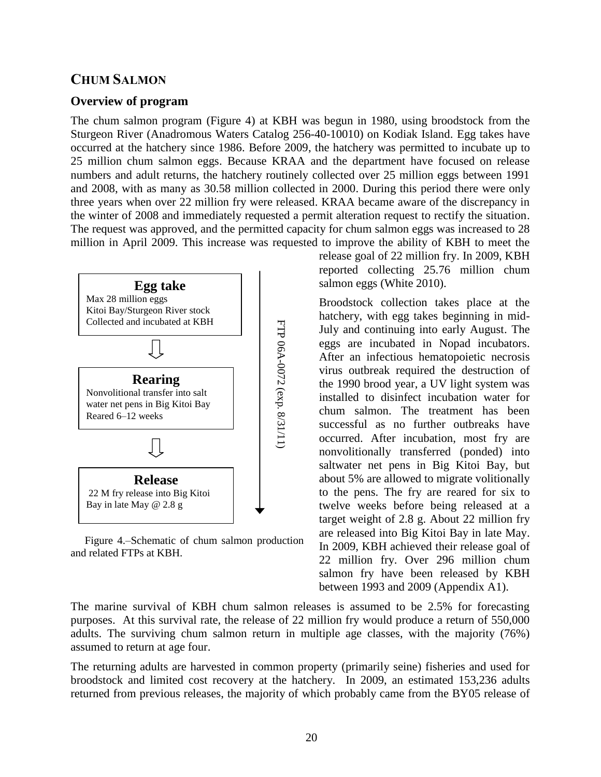# **CHUM SALMON**

### **Overview of program**

The chum salmon program (Figure 4) at KBH was begun in 1980, using broodstock from the Sturgeon River (Anadromous Waters Catalog 256-40-10010) on Kodiak Island. Egg takes have occurred at the hatchery since 1986. Before 2009, the hatchery was permitted to incubate up to 25 million chum salmon eggs. Because KRAA and the department have focused on release numbers and adult returns, the hatchery routinely collected over 25 million eggs between 1991 and 2008, with as many as 30.58 million collected in 2000. During this period there were only three years when over 22 million fry were released. KRAA became aware of the discrepancy in the winter of 2008 and immediately requested a permit alteration request to rectify the situation. The request was approved, and the permitted capacity for chum salmon eggs was increased to 28 million in April 2009. This increase was requested to improve the ability of KBH to meet the



Figure 4.–Schematic of chum salmon production and related FTPs at KBH.

release goal of 22 million fry. In 2009, KBH reported collecting 25.76 million chum salmon eggs (White 2010).

Broodstock collection takes place at the hatchery, with egg takes beginning in mid-July and continuing into early August. The eggs are incubated in Nopad incubators. After an infectious hematopoietic necrosis virus outbreak required the destruction of the 1990 brood year, a UV light system was installed to disinfect incubation water for chum salmon. The treatment has been successful as no further outbreaks have occurred. After incubation, most fry are nonvolitionally transferred (ponded) into saltwater net pens in Big Kitoi Bay, but about 5% are allowed to migrate volitionally to the pens. The fry are reared for six to twelve weeks before being released at a target weight of 2.8 g. About 22 million fry are released into Big Kitoi Bay in late May. In 2009, KBH achieved their release goal of 22 million fry. Over 296 million chum salmon fry have been released by KBH between 1993 and 2009 (Appendix A1).

The marine survival of KBH chum salmon releases is assumed to be 2.5% for forecasting purposes. At this survival rate, the release of 22 million fry would produce a return of 550,000 adults. The surviving chum salmon return in multiple age classes, with the majority (76%) assumed to return at age four.

The returning adults are harvested in common property (primarily seine) fisheries and used for broodstock and limited cost recovery at the hatchery. In 2009, an estimated 153,236 adults returned from previous releases, the majority of which probably came from the BY05 release of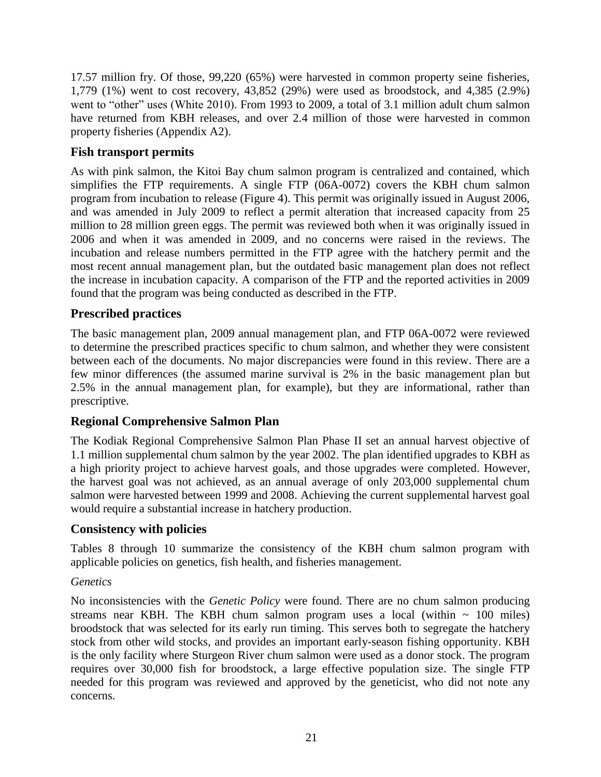17.57 million fry. Of those, 99,220 (65%) were harvested in common property seine fisheries, 1,779 (1%) went to cost recovery, 43,852 (29%) were used as broodstock, and 4,385 (2.9%) went to "other" uses (White 2010). From 1993 to 2009, a total of 3.1 million adult chum salmon have returned from KBH releases, and over 2.4 million of those were harvested in common property fisheries (Appendix A2).

# **Fish transport permits**

As with pink salmon, the Kitoi Bay chum salmon program is centralized and contained, which simplifies the FTP requirements. A single FTP (06A-0072) covers the KBH chum salmon program from incubation to release (Figure 4). This permit was originally issued in August 2006, and was amended in July 2009 to reflect a permit alteration that increased capacity from 25 million to 28 million green eggs. The permit was reviewed both when it was originally issued in 2006 and when it was amended in 2009, and no concerns were raised in the reviews. The incubation and release numbers permitted in the FTP agree with the hatchery permit and the most recent annual management plan, but the outdated basic management plan does not reflect the increase in incubation capacity. A comparison of the FTP and the reported activities in 2009 found that the program was being conducted as described in the FTP.

# **Prescribed practices**

The basic management plan, 2009 annual management plan, and FTP 06A-0072 were reviewed to determine the prescribed practices specific to chum salmon, and whether they were consistent between each of the documents. No major discrepancies were found in this review. There are a few minor differences (the assumed marine survival is 2% in the basic management plan but 2.5% in the annual management plan, for example), but they are informational, rather than prescriptive.

# **Regional Comprehensive Salmon Plan**

The Kodiak Regional Comprehensive Salmon Plan Phase II set an annual harvest objective of 1.1 million supplemental chum salmon by the year 2002. The plan identified upgrades to KBH as a high priority project to achieve harvest goals, and those upgrades were completed. However, the harvest goal was not achieved, as an annual average of only 203,000 supplemental chum salmon were harvested between 1999 and 2008. Achieving the current supplemental harvest goal would require a substantial increase in hatchery production.

# **Consistency with policies**

Tables 8 through 10 summarize the consistency of the KBH chum salmon program with applicable policies on genetics, fish health, and fisheries management.

### *Genetics*

No inconsistencies with the *Genetic Policy* were found. There are no chum salmon producing streams near KBH. The KBH chum salmon program uses a local (within  $\sim 100$  miles) broodstock that was selected for its early run timing. This serves both to segregate the hatchery stock from other wild stocks, and provides an important early-season fishing opportunity. KBH is the only facility where Sturgeon River chum salmon were used as a donor stock. The program requires over 30,000 fish for broodstock, a large effective population size. The single FTP needed for this program was reviewed and approved by the geneticist, who did not note any concerns.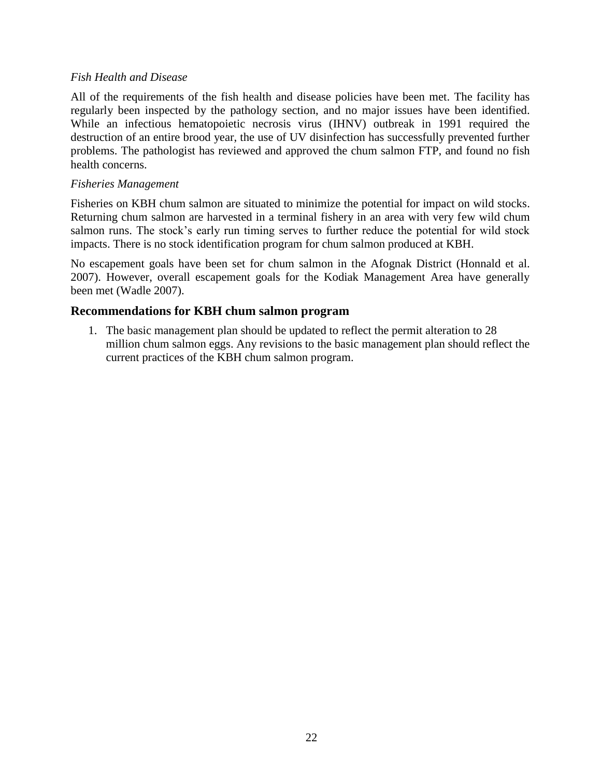#### *Fish Health and Disease*

All of the requirements of the fish health and disease policies have been met. The facility has regularly been inspected by the pathology section, and no major issues have been identified. While an infectious hematopoietic necrosis virus (IHNV) outbreak in 1991 required the destruction of an entire brood year, the use of UV disinfection has successfully prevented further problems. The pathologist has reviewed and approved the chum salmon FTP, and found no fish health concerns.

#### *Fisheries Management*

Fisheries on KBH chum salmon are situated to minimize the potential for impact on wild stocks. Returning chum salmon are harvested in a terminal fishery in an area with very few wild chum salmon runs. The stock's early run timing serves to further reduce the potential for wild stock impacts. There is no stock identification program for chum salmon produced at KBH.

No escapement goals have been set for chum salmon in the Afognak District (Honnald et al. 2007). However, overall escapement goals for the Kodiak Management Area have generally been met (Wadle 2007).

### **Recommendations for KBH chum salmon program**

1. The basic management plan should be updated to reflect the permit alteration to 28 million chum salmon eggs. Any revisions to the basic management plan should reflect the current practices of the KBH chum salmon program.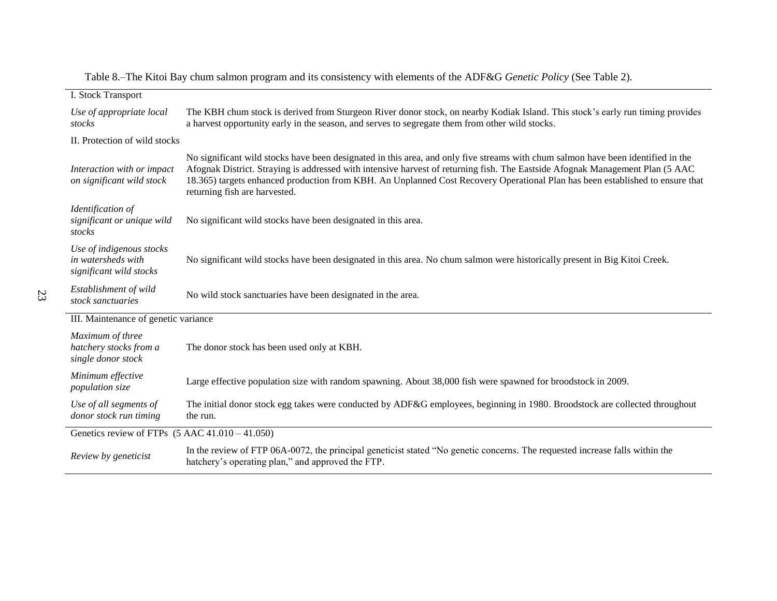| I. Stock Transport                                                        |                                                                                                                                                                                                                                                                                                                                                                                                                                     |  |
|---------------------------------------------------------------------------|-------------------------------------------------------------------------------------------------------------------------------------------------------------------------------------------------------------------------------------------------------------------------------------------------------------------------------------------------------------------------------------------------------------------------------------|--|
| Use of appropriate local<br>stocks                                        | The KBH chum stock is derived from Sturgeon River donor stock, on nearby Kodiak Island. This stock's early run timing provides<br>a harvest opportunity early in the season, and serves to segregate them from other wild stocks.                                                                                                                                                                                                   |  |
| II. Protection of wild stocks                                             |                                                                                                                                                                                                                                                                                                                                                                                                                                     |  |
| Interaction with or impact<br>on significant wild stock                   | No significant wild stocks have been designated in this area, and only five streams with chum salmon have been identified in the<br>Afognak District. Straying is addressed with intensive harvest of returning fish. The Eastside Afognak Management Plan (5 AAC<br>18.365) targets enhanced production from KBH. An Unplanned Cost Recovery Operational Plan has been established to ensure that<br>returning fish are harvested. |  |
| Identification of<br>significant or unique wild<br>stocks                 | No significant wild stocks have been designated in this area.                                                                                                                                                                                                                                                                                                                                                                       |  |
| Use of indigenous stocks<br>in watersheds with<br>significant wild stocks | No significant wild stocks have been designated in this area. No chum salmon were historically present in Big Kitoi Creek.                                                                                                                                                                                                                                                                                                          |  |
| Establishment of wild<br>stock sanctuaries                                | No wild stock sanctuaries have been designated in the area.                                                                                                                                                                                                                                                                                                                                                                         |  |
| III. Maintenance of genetic variance                                      |                                                                                                                                                                                                                                                                                                                                                                                                                                     |  |
| Maximum of three<br>hatchery stocks from a<br>single donor stock          | The donor stock has been used only at KBH.                                                                                                                                                                                                                                                                                                                                                                                          |  |
| Minimum effective<br>population size                                      | Large effective population size with random spawning. About 38,000 fish were spawned for broodstock in 2009.                                                                                                                                                                                                                                                                                                                        |  |
| Use of all segments of<br>donor stock run timing                          | The initial donor stock egg takes were conducted by ADF&G employees, beginning in 1980. Broodstock are collected throughout<br>the run.                                                                                                                                                                                                                                                                                             |  |
| Genetics review of FTPs $(5 \text{ AAC } 41.010 - 41.050)$                |                                                                                                                                                                                                                                                                                                                                                                                                                                     |  |
| Review by geneticist                                                      | In the review of FTP 06A-0072, the principal geneticist stated "No genetic concerns. The requested increase falls within the<br>hatchery's operating plan," and approved the FTP.                                                                                                                                                                                                                                                   |  |

Table 8.–The Kitoi Bay chum salmon program and its consistency with elements of the ADF&G *Genetic Policy* (See Table 2).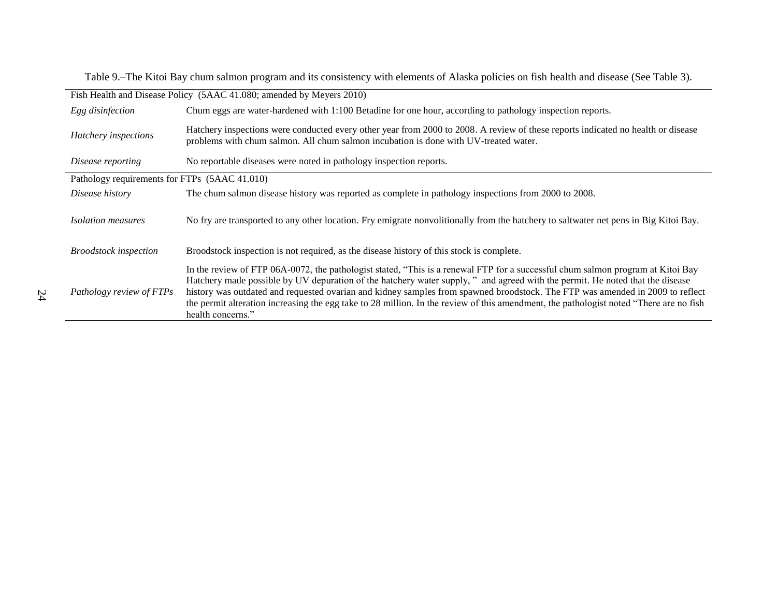Table 9.–The Kitoi Bay chum salmon program and its consistency with elements of Alaska policies on fish health and disease (See Table 3).

| Fish Health and Disease Policy (5AAC 41.080; amended by Meyers 2010) |                                                                                                                                                                                                                                                                                                                                                                                                                                                                                                                                                                 |  |
|----------------------------------------------------------------------|-----------------------------------------------------------------------------------------------------------------------------------------------------------------------------------------------------------------------------------------------------------------------------------------------------------------------------------------------------------------------------------------------------------------------------------------------------------------------------------------------------------------------------------------------------------------|--|
| Egg disinfection                                                     | Chum eggs are water-hardened with 1:100 Betadine for one hour, according to pathology inspection reports.                                                                                                                                                                                                                                                                                                                                                                                                                                                       |  |
| Hatchery inspections                                                 | Hatchery inspections were conducted every other year from 2000 to 2008. A review of these reports indicated no health or disease<br>problems with chum salmon. All chum salmon incubation is done with UV-treated water.                                                                                                                                                                                                                                                                                                                                        |  |
| Disease reporting                                                    | No reportable diseases were noted in pathology inspection reports.                                                                                                                                                                                                                                                                                                                                                                                                                                                                                              |  |
| Pathology requirements for FTPs (5AAC 41.010)                        |                                                                                                                                                                                                                                                                                                                                                                                                                                                                                                                                                                 |  |
| Disease history                                                      | The chum salmon disease history was reported as complete in pathology inspections from 2000 to 2008.                                                                                                                                                                                                                                                                                                                                                                                                                                                            |  |
| <i>Isolation measures</i>                                            | No fry are transported to any other location. Fry emigrate nonvolitionally from the hatchery to saltwater net pens in Big Kitoi Bay.                                                                                                                                                                                                                                                                                                                                                                                                                            |  |
| <b>Broodstock</b> inspection                                         | Broodstock inspection is not required, as the disease history of this stock is complete.                                                                                                                                                                                                                                                                                                                                                                                                                                                                        |  |
| Pathology review of FTPs                                             | In the review of FTP 06A-0072, the pathologist stated, "This is a renewal FTP for a successful chum salmon program at Kitoi Bay<br>Hatchery made possible by UV depuration of the hatchery water supply," and agreed with the permit. He noted that the disease<br>history was outdated and requested ovarian and kidney samples from spawned broodstock. The FTP was amended in 2009 to reflect<br>the permit alteration increasing the egg take to 28 million. In the review of this amendment, the pathologist noted "There are no fish<br>health concerns." |  |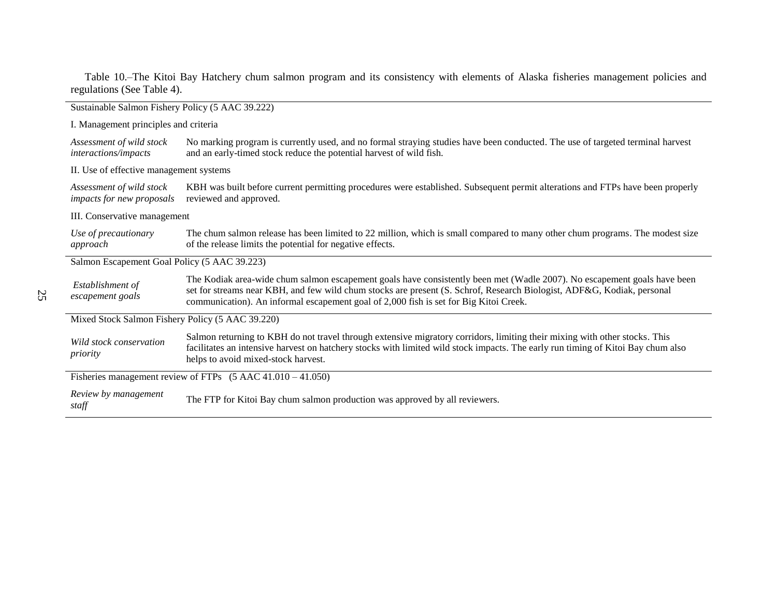Table 10.–The Kitoi Bay Hatchery chum salmon program and its consistency with elements of Alaska fisheries management policies and regulations (See Table 4).

| Sustainable Salmon Fishery Policy (5 AAC 39.222)                       |                                                                                                                                                                                                                                                                                                                                             |  |
|------------------------------------------------------------------------|---------------------------------------------------------------------------------------------------------------------------------------------------------------------------------------------------------------------------------------------------------------------------------------------------------------------------------------------|--|
| I. Management principles and criteria                                  |                                                                                                                                                                                                                                                                                                                                             |  |
| Assessment of wild stock<br>interactions/impacts                       | No marking program is currently used, and no formal straying studies have been conducted. The use of targeted terminal harvest<br>and an early-timed stock reduce the potential harvest of wild fish.                                                                                                                                       |  |
| II. Use of effective management systems                                |                                                                                                                                                                                                                                                                                                                                             |  |
| Assessment of wild stock<br>impacts for new proposals                  | KBH was built before current permitting procedures were established. Subsequent permit alterations and FTPs have been properly<br>reviewed and approved.                                                                                                                                                                                    |  |
| III. Conservative management                                           |                                                                                                                                                                                                                                                                                                                                             |  |
| Use of precautionary<br>approach                                       | The chum salmon release has been limited to 22 million, which is small compared to many other chum programs. The modest size<br>of the release limits the potential for negative effects.                                                                                                                                                   |  |
| Salmon Escapement Goal Policy (5 AAC 39.223)                           |                                                                                                                                                                                                                                                                                                                                             |  |
| Establishment of<br>escapement goals                                   | The Kodiak area-wide chum salmon escapement goals have consistently been met (Wadle 2007). No escapement goals have been<br>set for streams near KBH, and few wild chum stocks are present (S. Schrof, Research Biologist, ADF&G, Kodiak, personal<br>communication). An informal escapement goal of 2,000 fish is set for Big Kitoi Creek. |  |
| Mixed Stock Salmon Fishery Policy (5 AAC 39.220)                       |                                                                                                                                                                                                                                                                                                                                             |  |
| Wild stock conservation<br>priority                                    | Salmon returning to KBH do not travel through extensive migratory corridors, limiting their mixing with other stocks. This<br>facilitates an intensive harvest on hatchery stocks with limited wild stock impacts. The early run timing of Kitoi Bay chum also<br>helps to avoid mixed-stock harvest.                                       |  |
| Fisheries management review of FTPs $(5 \text{ AAC } 41.010 - 41.050)$ |                                                                                                                                                                                                                                                                                                                                             |  |
| Review by management<br>staff                                          | The FTP for Kitoi Bay chum salmon production was approved by all reviewers.                                                                                                                                                                                                                                                                 |  |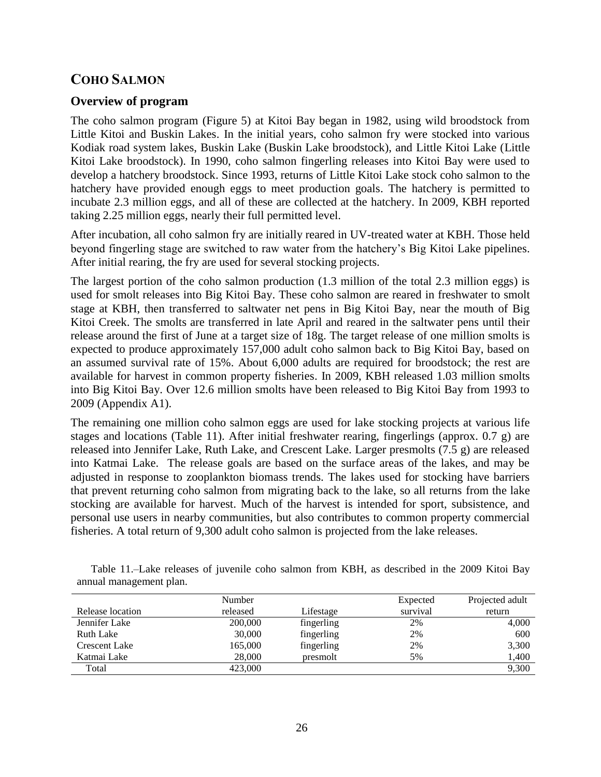# **COHO SALMON**

### **Overview of program**

The coho salmon program (Figure 5) at Kitoi Bay began in 1982, using wild broodstock from Little Kitoi and Buskin Lakes. In the initial years, coho salmon fry were stocked into various Kodiak road system lakes, Buskin Lake (Buskin Lake broodstock), and Little Kitoi Lake (Little Kitoi Lake broodstock). In 1990, coho salmon fingerling releases into Kitoi Bay were used to develop a hatchery broodstock. Since 1993, returns of Little Kitoi Lake stock coho salmon to the hatchery have provided enough eggs to meet production goals. The hatchery is permitted to incubate 2.3 million eggs, and all of these are collected at the hatchery. In 2009, KBH reported taking 2.25 million eggs, nearly their full permitted level.

After incubation, all coho salmon fry are initially reared in UV-treated water at KBH. Those held beyond fingerling stage are switched to raw water from the hatchery's Big Kitoi Lake pipelines. After initial rearing, the fry are used for several stocking projects.

The largest portion of the coho salmon production (1.3 million of the total 2.3 million eggs) is used for smolt releases into Big Kitoi Bay. These coho salmon are reared in freshwater to smolt stage at KBH, then transferred to saltwater net pens in Big Kitoi Bay, near the mouth of Big Kitoi Creek. The smolts are transferred in late April and reared in the saltwater pens until their release around the first of June at a target size of 18g. The target release of one million smolts is expected to produce approximately 157,000 adult coho salmon back to Big Kitoi Bay, based on an assumed survival rate of 15%. About 6,000 adults are required for broodstock; the rest are available for harvest in common property fisheries. In 2009, KBH released 1.03 million smolts into Big Kitoi Bay. Over 12.6 million smolts have been released to Big Kitoi Bay from 1993 to 2009 (Appendix A1).

The remaining one million coho salmon eggs are used for lake stocking projects at various life stages and locations (Table 11). After initial freshwater rearing, fingerlings (approx. 0.7 g) are released into Jennifer Lake, Ruth Lake, and Crescent Lake. Larger presmolts (7.5 g) are released into Katmai Lake. The release goals are based on the surface areas of the lakes, and may be adjusted in response to zooplankton biomass trends. The lakes used for stocking have barriers that prevent returning coho salmon from migrating back to the lake, so all returns from the lake stocking are available for harvest. Much of the harvest is intended for sport, subsistence, and personal use users in nearby communities, but also contributes to common property commercial fisheries. A total return of 9,300 adult coho salmon is projected from the lake releases.

|                      | Number   |            | Expected | Projected adult |
|----------------------|----------|------------|----------|-----------------|
| Release location     | released | Lifestage  | survival | return          |
| Jennifer Lake        | 200,000  | fingerling | 2%       | 4,000           |
| Ruth Lake            | 30,000   | fingerling | 2%       | 600             |
| <b>Crescent Lake</b> | 165,000  | fingerling | 2%       | 3,300           |
| Katmai Lake          | 28,000   | presmolt   | 5%       | 1,400           |
| Total                | 423,000  |            |          | 9,300           |

Table 11.–Lake releases of juvenile coho salmon from KBH, as described in the 2009 Kitoi Bay annual management plan.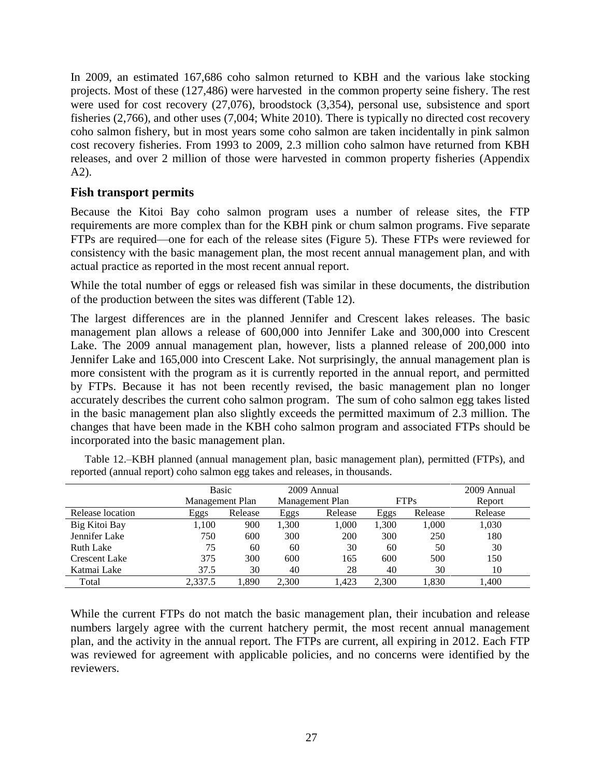In 2009, an estimated 167,686 coho salmon returned to KBH and the various lake stocking projects. Most of these (127,486) were harvested in the common property seine fishery. The rest were used for cost recovery (27,076), broodstock (3,354), personal use, subsistence and sport fisheries (2,766), and other uses (7,004; White 2010). There is typically no directed cost recovery coho salmon fishery, but in most years some coho salmon are taken incidentally in pink salmon cost recovery fisheries. From 1993 to 2009, 2.3 million coho salmon have returned from KBH releases, and over 2 million of those were harvested in common property fisheries (Appendix A2).

#### **Fish transport permits**

Because the Kitoi Bay coho salmon program uses a number of release sites, the FTP requirements are more complex than for the KBH pink or chum salmon programs. Five separate FTPs are required—one for each of the release sites (Figure 5). These FTPs were reviewed for consistency with the basic management plan, the most recent annual management plan, and with actual practice as reported in the most recent annual report.

While the total number of eggs or released fish was similar in these documents, the distribution of the production between the sites was different (Table 12).

The largest differences are in the planned Jennifer and Crescent lakes releases. The basic management plan allows a release of 600,000 into Jennifer Lake and 300,000 into Crescent Lake. The 2009 annual management plan, however, lists a planned release of 200,000 into Jennifer Lake and 165,000 into Crescent Lake. Not surprisingly, the annual management plan is more consistent with the program as it is currently reported in the annual report, and permitted by FTPs. Because it has not been recently revised, the basic management plan no longer accurately describes the current coho salmon program. The sum of coho salmon egg takes listed in the basic management plan also slightly exceeds the permitted maximum of 2.3 million. The changes that have been made in the KBH coho salmon program and associated FTPs should be incorporated into the basic management plan.

|                      | Basic<br>Management Plan |         |       | 2009 Annual<br>Management Plan |       | <b>FTPs</b> | 2009 Annual<br>Report |
|----------------------|--------------------------|---------|-------|--------------------------------|-------|-------------|-----------------------|
| Release location     | Eggs                     | Release | Eggs  | Release                        | Eggs  | Release     | Release               |
| Big Kitoi Bay        | 1.100                    | 900     | 1.300 | 1,000                          | 1.300 | 1.000       | 1,030                 |
| Jennifer Lake        | 750                      | 600     | 300   | 200                            | 300   | 250         | 180                   |
| Ruth Lake            | 75                       | 60      | 60    | 30                             | 60    | 50          | 30                    |
| <b>Crescent Lake</b> | 375                      | 300     | 600   | 165                            | 600   | 500         | 150                   |
| Katmai Lake          | 37.5                     | 30      | 40    | 28                             | 40    | 30          | 10                    |
| Total                | 2.337.5                  | 1.890   | 2.300 | .423                           | 2.300 | .830        | 1,400                 |

Table 12.–KBH planned (annual management plan, basic management plan), permitted (FTPs), and reported (annual report) coho salmon egg takes and releases, in thousands.

While the current FTPs do not match the basic management plan, their incubation and release numbers largely agree with the current hatchery permit, the most recent annual management plan, and the activity in the annual report. The FTPs are current, all expiring in 2012. Each FTP was reviewed for agreement with applicable policies, and no concerns were identified by the reviewers.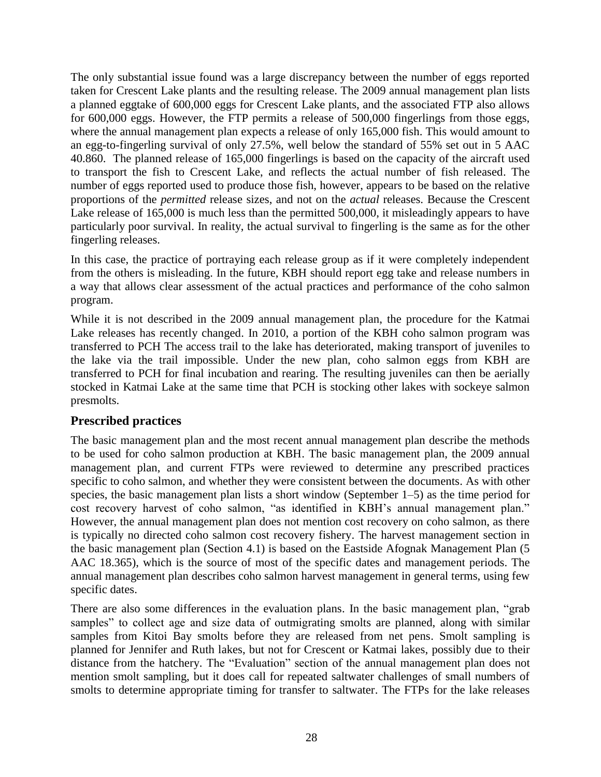The only substantial issue found was a large discrepancy between the number of eggs reported taken for Crescent Lake plants and the resulting release. The 2009 annual management plan lists a planned eggtake of 600,000 eggs for Crescent Lake plants, and the associated FTP also allows for 600,000 eggs. However, the FTP permits a release of 500,000 fingerlings from those eggs, where the annual management plan expects a release of only 165,000 fish. This would amount to an egg-to-fingerling survival of only 27.5%, well below the standard of 55% set out in 5 AAC 40.860. The planned release of 165,000 fingerlings is based on the capacity of the aircraft used to transport the fish to Crescent Lake, and reflects the actual number of fish released. The number of eggs reported used to produce those fish, however, appears to be based on the relative proportions of the *permitted* release sizes, and not on the *actual* releases. Because the Crescent Lake release of 165,000 is much less than the permitted 500,000, it misleadingly appears to have particularly poor survival. In reality, the actual survival to fingerling is the same as for the other fingerling releases.

In this case, the practice of portraying each release group as if it were completely independent from the others is misleading. In the future, KBH should report egg take and release numbers in a way that allows clear assessment of the actual practices and performance of the coho salmon program.

While it is not described in the 2009 annual management plan, the procedure for the Katmai Lake releases has recently changed. In 2010, a portion of the KBH coho salmon program was transferred to PCH The access trail to the lake has deteriorated, making transport of juveniles to the lake via the trail impossible. Under the new plan, coho salmon eggs from KBH are transferred to PCH for final incubation and rearing. The resulting juveniles can then be aerially stocked in Katmai Lake at the same time that PCH is stocking other lakes with sockeye salmon presmolts.

# **Prescribed practices**

The basic management plan and the most recent annual management plan describe the methods to be used for coho salmon production at KBH. The basic management plan, the 2009 annual management plan, and current FTPs were reviewed to determine any prescribed practices specific to coho salmon, and whether they were consistent between the documents. As with other species, the basic management plan lists a short window (September 1–5) as the time period for cost recovery harvest of coho salmon, "as identified in KBH's annual management plan." However, the annual management plan does not mention cost recovery on coho salmon, as there is typically no directed coho salmon cost recovery fishery. The harvest management section in the basic management plan (Section 4.1) is based on the Eastside Afognak Management Plan (5 AAC 18.365), which is the source of most of the specific dates and management periods. The annual management plan describes coho salmon harvest management in general terms, using few specific dates.

There are also some differences in the evaluation plans. In the basic management plan, "grab" samples" to collect age and size data of outmigrating smolts are planned, along with similar samples from Kitoi Bay smolts before they are released from net pens. Smolt sampling is planned for Jennifer and Ruth lakes, but not for Crescent or Katmai lakes, possibly due to their distance from the hatchery. The "Evaluation" section of the annual management plan does not mention smolt sampling, but it does call for repeated saltwater challenges of small numbers of smolts to determine appropriate timing for transfer to saltwater. The FTPs for the lake releases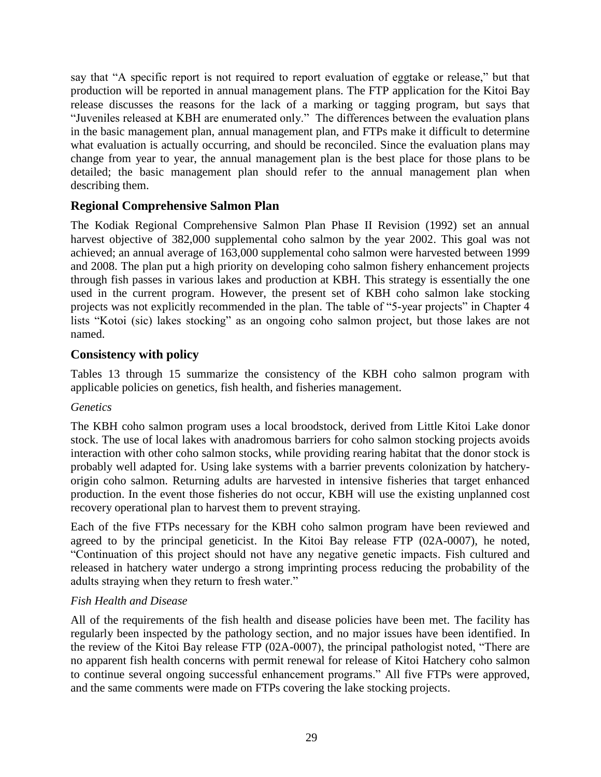say that "A specific report is not required to report evaluation of eggtake or release," but that production will be reported in annual management plans. The FTP application for the Kitoi Bay release discusses the reasons for the lack of a marking or tagging program, but says that "Juveniles released at KBH are enumerated only." The differences between the evaluation plans in the basic management plan, annual management plan, and FTPs make it difficult to determine what evaluation is actually occurring, and should be reconciled. Since the evaluation plans may change from year to year, the annual management plan is the best place for those plans to be detailed; the basic management plan should refer to the annual management plan when describing them.

# **Regional Comprehensive Salmon Plan**

The Kodiak Regional Comprehensive Salmon Plan Phase II Revision (1992) set an annual harvest objective of 382,000 supplemental coho salmon by the year 2002. This goal was not achieved; an annual average of 163,000 supplemental coho salmon were harvested between 1999 and 2008. The plan put a high priority on developing coho salmon fishery enhancement projects through fish passes in various lakes and production at KBH. This strategy is essentially the one used in the current program. However, the present set of KBH coho salmon lake stocking projects was not explicitly recommended in the plan. The table of "5-year projects" in Chapter 4 lists "Kotoi (sic) lakes stocking" as an ongoing coho salmon project, but those lakes are not named.

# **Consistency with policy**

Tables 13 through 15 summarize the consistency of the KBH coho salmon program with applicable policies on genetics, fish health, and fisheries management.

### *Genetics*

The KBH coho salmon program uses a local broodstock, derived from Little Kitoi Lake donor stock. The use of local lakes with anadromous barriers for coho salmon stocking projects avoids interaction with other coho salmon stocks, while providing rearing habitat that the donor stock is probably well adapted for. Using lake systems with a barrier prevents colonization by hatcheryorigin coho salmon. Returning adults are harvested in intensive fisheries that target enhanced production. In the event those fisheries do not occur, KBH will use the existing unplanned cost recovery operational plan to harvest them to prevent straying.

Each of the five FTPs necessary for the KBH coho salmon program have been reviewed and agreed to by the principal geneticist. In the Kitoi Bay release FTP (02A-0007), he noted, ―Continuation of this project should not have any negative genetic impacts. Fish cultured and released in hatchery water undergo a strong imprinting process reducing the probability of the adults straying when they return to fresh water."

# *Fish Health and Disease*

All of the requirements of the fish health and disease policies have been met. The facility has regularly been inspected by the pathology section, and no major issues have been identified. In the review of the Kitoi Bay release FTP  $(02A-0007)$ , the principal pathologist noted, "There are no apparent fish health concerns with permit renewal for release of Kitoi Hatchery coho salmon to continue several ongoing successful enhancement programs." All five FTPs were approved, and the same comments were made on FTPs covering the lake stocking projects.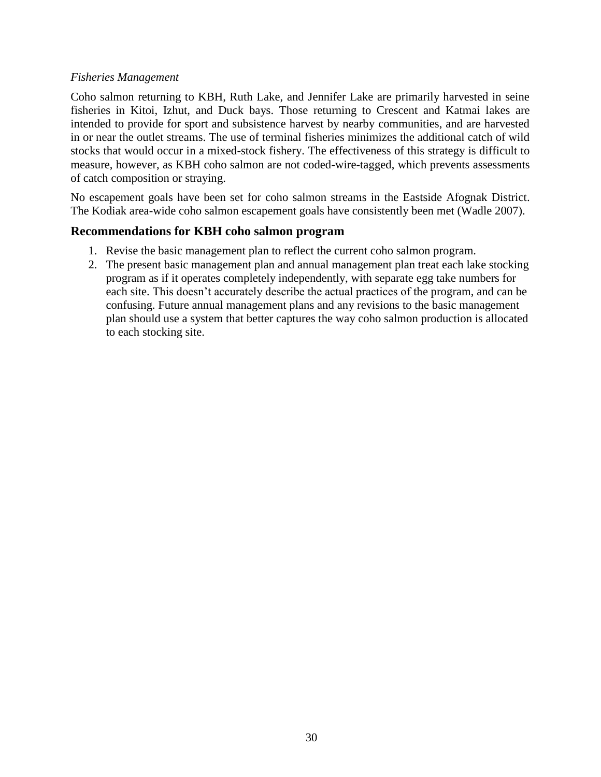#### *Fisheries Management*

Coho salmon returning to KBH, Ruth Lake, and Jennifer Lake are primarily harvested in seine fisheries in Kitoi, Izhut, and Duck bays. Those returning to Crescent and Katmai lakes are intended to provide for sport and subsistence harvest by nearby communities, and are harvested in or near the outlet streams. The use of terminal fisheries minimizes the additional catch of wild stocks that would occur in a mixed-stock fishery. The effectiveness of this strategy is difficult to measure, however, as KBH coho salmon are not coded-wire-tagged, which prevents assessments of catch composition or straying.

No escapement goals have been set for coho salmon streams in the Eastside Afognak District. The Kodiak area-wide coho salmon escapement goals have consistently been met (Wadle 2007).

#### **Recommendations for KBH coho salmon program**

- 1. Revise the basic management plan to reflect the current coho salmon program.
- 2. The present basic management plan and annual management plan treat each lake stocking program as if it operates completely independently, with separate egg take numbers for each site. This doesn't accurately describe the actual practices of the program, and can be confusing. Future annual management plans and any revisions to the basic management plan should use a system that better captures the way coho salmon production is allocated to each stocking site.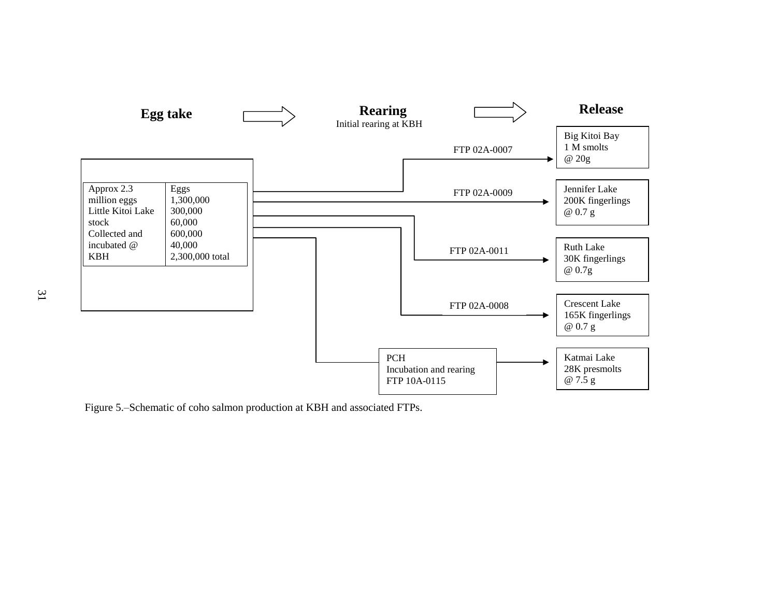

Figure 5.–Schematic of coho salmon production at KBH and associated FTPs.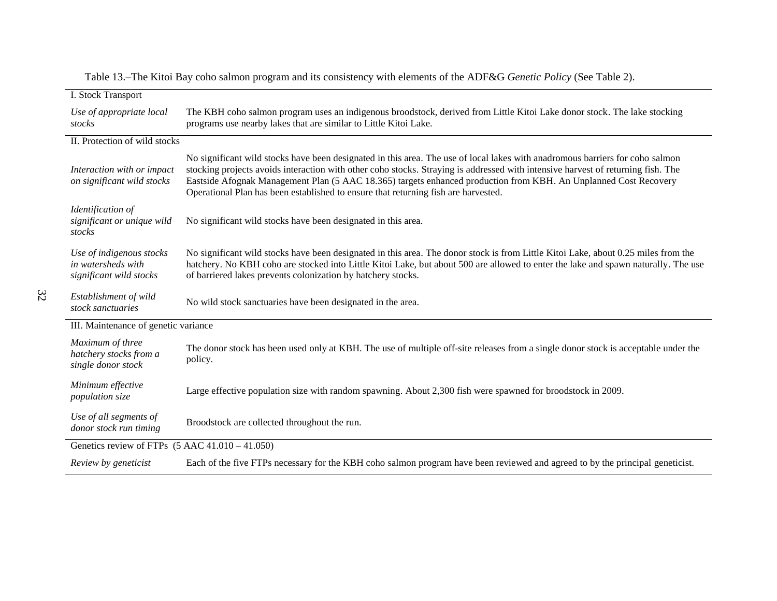| I. Stock Transport                                                        |                                                                                                                                                                                                                                                                                                                                                                                                                                                                             |  |
|---------------------------------------------------------------------------|-----------------------------------------------------------------------------------------------------------------------------------------------------------------------------------------------------------------------------------------------------------------------------------------------------------------------------------------------------------------------------------------------------------------------------------------------------------------------------|--|
| Use of appropriate local<br>stocks                                        | The KBH coho salmon program uses an indigenous broodstock, derived from Little Kitoi Lake donor stock. The lake stocking<br>programs use nearby lakes that are similar to Little Kitoi Lake.                                                                                                                                                                                                                                                                                |  |
| II. Protection of wild stocks                                             |                                                                                                                                                                                                                                                                                                                                                                                                                                                                             |  |
| Interaction with or impact<br>on significant wild stocks                  | No significant wild stocks have been designated in this area. The use of local lakes with anadromous barriers for coho salmon<br>stocking projects avoids interaction with other coho stocks. Straying is addressed with intensive harvest of returning fish. The<br>Eastside Afognak Management Plan (5 AAC 18.365) targets enhanced production from KBH. An Unplanned Cost Recovery<br>Operational Plan has been established to ensure that returning fish are harvested. |  |
| Identification of<br>significant or unique wild<br>stocks                 | No significant wild stocks have been designated in this area.                                                                                                                                                                                                                                                                                                                                                                                                               |  |
| Use of indigenous stocks<br>in watersheds with<br>significant wild stocks | No significant wild stocks have been designated in this area. The donor stock is from Little Kitoi Lake, about 0.25 miles from the<br>hatchery. No KBH coho are stocked into Little Kitoi Lake, but about 500 are allowed to enter the lake and spawn naturally. The use<br>of barriered lakes prevents colonization by hatchery stocks.                                                                                                                                    |  |
| Establishment of wild<br>stock sanctuaries                                | No wild stock sanctuaries have been designated in the area.                                                                                                                                                                                                                                                                                                                                                                                                                 |  |
| III. Maintenance of genetic variance                                      |                                                                                                                                                                                                                                                                                                                                                                                                                                                                             |  |
| Maximum of three<br>hatchery stocks from a<br>single donor stock          | The donor stock has been used only at KBH. The use of multiple off-site releases from a single donor stock is acceptable under the<br>policy.                                                                                                                                                                                                                                                                                                                               |  |
| Minimum effective<br>population size                                      | Large effective population size with random spawning. About 2,300 fish were spawned for broodstock in 2009.                                                                                                                                                                                                                                                                                                                                                                 |  |
| Use of all segments of<br>donor stock run timing                          | Broodstock are collected throughout the run.                                                                                                                                                                                                                                                                                                                                                                                                                                |  |
| Genetics review of FTPs $(5 \text{ AAC } 41.010 - 41.050)$                |                                                                                                                                                                                                                                                                                                                                                                                                                                                                             |  |
| Review by geneticist                                                      | Each of the five FTPs necessary for the KBH coho salmon program have been reviewed and agreed to by the principal geneticist.                                                                                                                                                                                                                                                                                                                                               |  |

Table 13.–The Kitoi Bay coho salmon program and its consistency with elements of the ADF&G *Genetic Policy* (See Table 2).

32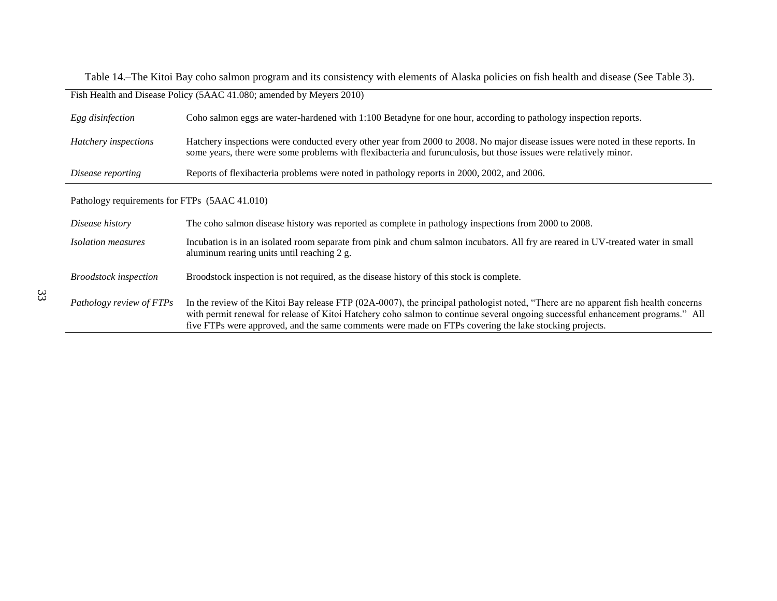Table 14.–The Kitoi Bay coho salmon program and its consistency with elements of Alaska policies on fish health and disease (See Table 3).

| Fish Health and Disease Policy (5AAC 41.080; amended by Meyers 2010) |                                                                                                                                                                                                                                                                                                                                                                                 |  |
|----------------------------------------------------------------------|---------------------------------------------------------------------------------------------------------------------------------------------------------------------------------------------------------------------------------------------------------------------------------------------------------------------------------------------------------------------------------|--|
| Egg disinfection                                                     | Coho salmon eggs are water-hardened with 1:100 Betadyne for one hour, according to pathology inspection reports.                                                                                                                                                                                                                                                                |  |
| Hatchery inspections                                                 | Hatchery inspections were conducted every other year from 2000 to 2008. No major disease issues were noted in these reports. In<br>some years, there were some problems with flexibacteria and furunculosis, but those issues were relatively minor.                                                                                                                            |  |
| Disease reporting                                                    | Reports of flexibacteria problems were noted in pathology reports in 2000, 2002, and 2006.                                                                                                                                                                                                                                                                                      |  |
| Pathology requirements for FTPs (5AAC 41.010)                        |                                                                                                                                                                                                                                                                                                                                                                                 |  |
| Disease history                                                      | The coho salmon disease history was reported as complete in pathology inspections from 2000 to 2008.                                                                                                                                                                                                                                                                            |  |
| <i>Isolation measures</i>                                            | Incubation is in an isolated room separate from pink and chum salmon incubators. All fry are reared in UV-treated water in small<br>aluminum rearing units until reaching 2 g.                                                                                                                                                                                                  |  |
| <b>Broodstock</b> inspection                                         | Broodstock inspection is not required, as the disease history of this stock is complete.                                                                                                                                                                                                                                                                                        |  |
| Pathology review of FTPs                                             | In the review of the Kitoi Bay release FTP (02A-0007), the principal pathologist noted, "There are no apparent fish health concerns<br>with permit renewal for release of Kitoi Hatchery coho salmon to continue several ongoing successful enhancement programs." All<br>five FTPs were approved, and the same comments were made on FTPs covering the lake stocking projects. |  |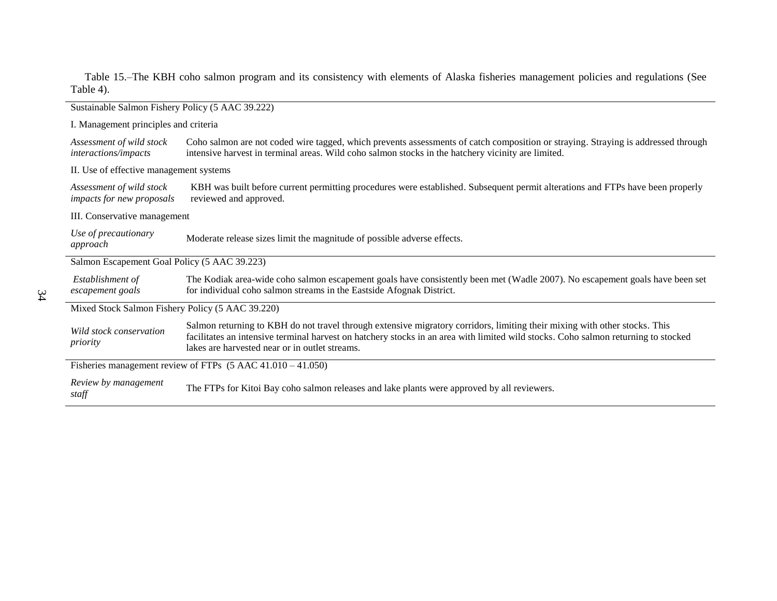Table 15.–The KBH coho salmon program and its consistency with elements of Alaska fisheries management policies and regulations (See Table 4).

| Sustainable Salmon Fishery Policy (5 AAC 39.222)                       |                                                                                                                                                                                                                                                                                                                    |  |  |
|------------------------------------------------------------------------|--------------------------------------------------------------------------------------------------------------------------------------------------------------------------------------------------------------------------------------------------------------------------------------------------------------------|--|--|
|                                                                        | I. Management principles and criteria                                                                                                                                                                                                                                                                              |  |  |
| Assessment of wild stock<br>interactions/impacts                       | Coho salmon are not coded wire tagged, which prevents assessments of catch composition or straying. Straying is addressed through<br>intensive harvest in terminal areas. Wild coho salmon stocks in the hatchery vicinity are limited.                                                                            |  |  |
| II. Use of effective management systems                                |                                                                                                                                                                                                                                                                                                                    |  |  |
| Assessment of wild stock<br>impacts for new proposals                  | KBH was built before current permitting procedures were established. Subsequent permit alterations and FTPs have been properly<br>reviewed and approved.                                                                                                                                                           |  |  |
|                                                                        | III. Conservative management                                                                                                                                                                                                                                                                                       |  |  |
| Use of precautionary<br>approach                                       | Moderate release sizes limit the magnitude of possible adverse effects.                                                                                                                                                                                                                                            |  |  |
|                                                                        | Salmon Escapement Goal Policy (5 AAC 39.223)                                                                                                                                                                                                                                                                       |  |  |
| Establishment of<br>escapement goals                                   | The Kodiak area-wide coho salmon escapement goals have consistently been met (Wadle 2007). No escapement goals have been set<br>for individual coho salmon streams in the Eastside Afognak District.                                                                                                               |  |  |
| Mixed Stock Salmon Fishery Policy (5 AAC 39.220)                       |                                                                                                                                                                                                                                                                                                                    |  |  |
| Wild stock conservation<br>priority                                    | Salmon returning to KBH do not travel through extensive migratory corridors, limiting their mixing with other stocks. This<br>facilitates an intensive terminal harvest on hatchery stocks in an area with limited wild stocks. Coho salmon returning to stocked<br>lakes are harvested near or in outlet streams. |  |  |
| Fisheries management review of FTPs $(5 \text{ AAC } 41.010 - 41.050)$ |                                                                                                                                                                                                                                                                                                                    |  |  |
| Review by management<br>staff                                          | The FTPs for Kitoi Bay coho salmon releases and lake plants were approved by all reviewers.                                                                                                                                                                                                                        |  |  |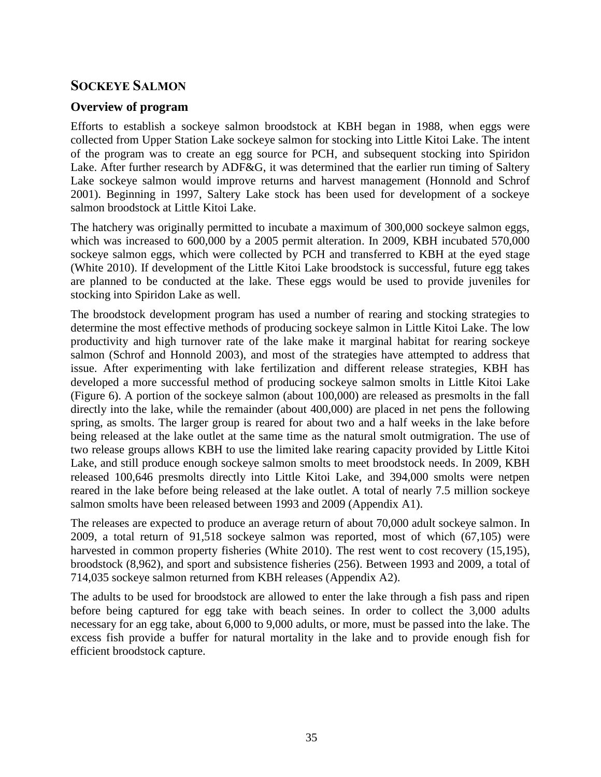# **SOCKEYE SALMON**

### **Overview of program**

Efforts to establish a sockeye salmon broodstock at KBH began in 1988, when eggs were collected from Upper Station Lake sockeye salmon for stocking into Little Kitoi Lake. The intent of the program was to create an egg source for PCH, and subsequent stocking into Spiridon Lake. After further research by ADF&G, it was determined that the earlier run timing of Saltery Lake sockeye salmon would improve returns and harvest management (Honnold and Schrof 2001). Beginning in 1997, Saltery Lake stock has been used for development of a sockeye salmon broodstock at Little Kitoi Lake.

The hatchery was originally permitted to incubate a maximum of 300,000 sockeye salmon eggs, which was increased to 600,000 by a 2005 permit alteration. In 2009, KBH incubated 570,000 sockeye salmon eggs, which were collected by PCH and transferred to KBH at the eyed stage (White 2010). If development of the Little Kitoi Lake broodstock is successful, future egg takes are planned to be conducted at the lake. These eggs would be used to provide juveniles for stocking into Spiridon Lake as well.

The broodstock development program has used a number of rearing and stocking strategies to determine the most effective methods of producing sockeye salmon in Little Kitoi Lake. The low productivity and high turnover rate of the lake make it marginal habitat for rearing sockeye salmon (Schrof and Honnold 2003), and most of the strategies have attempted to address that issue. After experimenting with lake fertilization and different release strategies, KBH has developed a more successful method of producing sockeye salmon smolts in Little Kitoi Lake (Figure 6). A portion of the sockeye salmon (about 100,000) are released as presmolts in the fall directly into the lake, while the remainder (about 400,000) are placed in net pens the following spring, as smolts. The larger group is reared for about two and a half weeks in the lake before being released at the lake outlet at the same time as the natural smolt outmigration. The use of two release groups allows KBH to use the limited lake rearing capacity provided by Little Kitoi Lake, and still produce enough sockeye salmon smolts to meet broodstock needs. In 2009, KBH released 100,646 presmolts directly into Little Kitoi Lake, and 394,000 smolts were netpen reared in the lake before being released at the lake outlet. A total of nearly 7.5 million sockeye salmon smolts have been released between 1993 and 2009 (Appendix A1).

The releases are expected to produce an average return of about 70,000 adult sockeye salmon. In 2009, a total return of 91,518 sockeye salmon was reported, most of which (67,105) were harvested in common property fisheries (White 2010). The rest went to cost recovery (15,195), broodstock (8,962), and sport and subsistence fisheries (256). Between 1993 and 2009, a total of 714,035 sockeye salmon returned from KBH releases (Appendix A2).

The adults to be used for broodstock are allowed to enter the lake through a fish pass and ripen before being captured for egg take with beach seines. In order to collect the 3,000 adults necessary for an egg take, about 6,000 to 9,000 adults, or more, must be passed into the lake. The excess fish provide a buffer for natural mortality in the lake and to provide enough fish for efficient broodstock capture.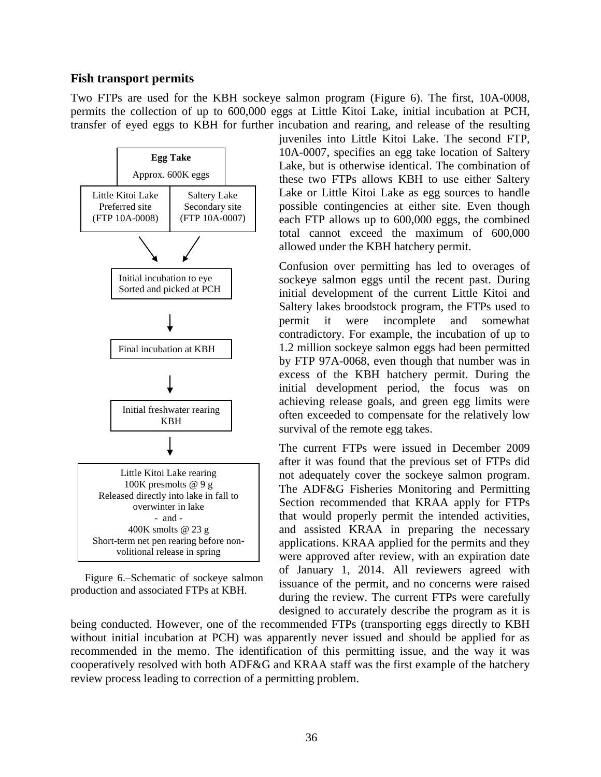#### **Fish transport permits**

Two FTPs are used for the KBH sockeye salmon program (Figure 6). The first, 10A-0008, permits the collection of up to 600,000 eggs at Little Kitoi Lake, initial incubation at PCH, transfer of eyed eggs to KBH for further incubation and rearing, and release of the resulting



Figure 6.–Schematic of sockeye salmon production and associated FTPs at KBH.

juveniles into Little Kitoi Lake. The second FTP, 10A-0007, specifies an egg take location of Saltery Lake, but is otherwise identical. The combination of these two FTPs allows KBH to use either Saltery Lake or Little Kitoi Lake as egg sources to handle possible contingencies at either site. Even though each FTP allows up to 600,000 eggs, the combined total cannot exceed the maximum of 600,000 allowed under the KBH hatchery permit.

Confusion over permitting has led to overages of sockeye salmon eggs until the recent past. During initial development of the current Little Kitoi and Saltery lakes broodstock program, the FTPs used to permit it were incomplete and somewhat contradictory. For example, the incubation of up to 1.2 million sockeye salmon eggs had been permitted by FTP 97A-0068, even though that number was in excess of the KBH hatchery permit. During the initial development period, the focus was on achieving release goals, and green egg limits were often exceeded to compensate for the relatively low survival of the remote egg takes.

The current FTPs were issued in December 2009 after it was found that the previous set of FTPs did not adequately cover the sockeye salmon program. The ADF&G Fisheries Monitoring and Permitting Section recommended that KRAA apply for FTPs that would properly permit the intended activities, and assisted KRAA in preparing the necessary applications. KRAA applied for the permits and they were approved after review, with an expiration date of January 1, 2014. All reviewers agreed with issuance of the permit, and no concerns were raised during the review. The current FTPs were carefully designed to accurately describe the program as it is

being conducted. However, one of the recommended FTPs (transporting eggs directly to KBH without initial incubation at PCH) was apparently never issued and should be applied for as recommended in the memo. The identification of this permitting issue, and the way it was cooperatively resolved with both ADF&G and KRAA staff was the first example of the hatchery review process leading to correction of a permitting problem.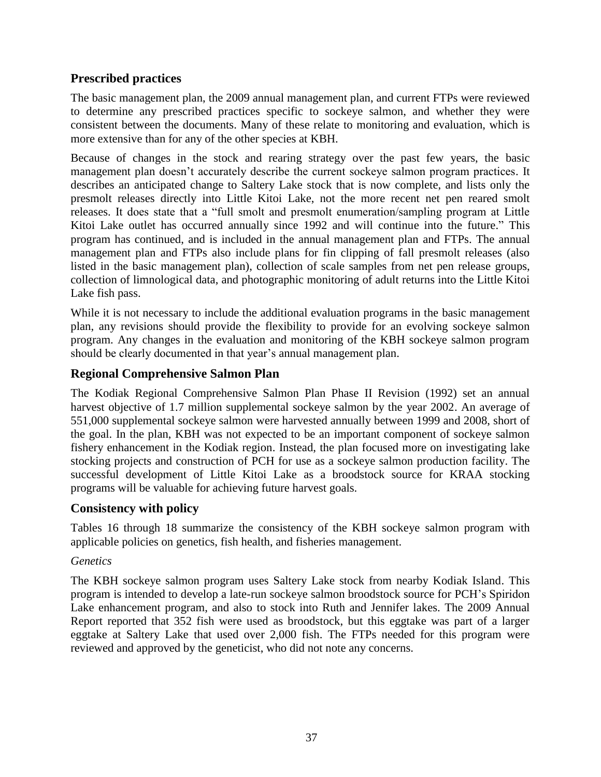# **Prescribed practices**

The basic management plan, the 2009 annual management plan, and current FTPs were reviewed to determine any prescribed practices specific to sockeye salmon, and whether they were consistent between the documents. Many of these relate to monitoring and evaluation, which is more extensive than for any of the other species at KBH.

Because of changes in the stock and rearing strategy over the past few years, the basic management plan doesn't accurately describe the current sockeye salmon program practices. It describes an anticipated change to Saltery Lake stock that is now complete, and lists only the presmolt releases directly into Little Kitoi Lake, not the more recent net pen reared smolt releases. It does state that a "full smolt and presmolt enumeration/sampling program at Little Kitoi Lake outlet has occurred annually since 1992 and will continue into the future." This program has continued, and is included in the annual management plan and FTPs. The annual management plan and FTPs also include plans for fin clipping of fall presmolt releases (also listed in the basic management plan), collection of scale samples from net pen release groups, collection of limnological data, and photographic monitoring of adult returns into the Little Kitoi Lake fish pass.

While it is not necessary to include the additional evaluation programs in the basic management plan, any revisions should provide the flexibility to provide for an evolving sockeye salmon program. Any changes in the evaluation and monitoring of the KBH sockeye salmon program should be clearly documented in that year's annual management plan.

### **Regional Comprehensive Salmon Plan**

The Kodiak Regional Comprehensive Salmon Plan Phase II Revision (1992) set an annual harvest objective of 1.7 million supplemental sockeye salmon by the year 2002. An average of 551,000 supplemental sockeye salmon were harvested annually between 1999 and 2008, short of the goal. In the plan, KBH was not expected to be an important component of sockeye salmon fishery enhancement in the Kodiak region. Instead, the plan focused more on investigating lake stocking projects and construction of PCH for use as a sockeye salmon production facility. The successful development of Little Kitoi Lake as a broodstock source for KRAA stocking programs will be valuable for achieving future harvest goals.

### **Consistency with policy**

Tables 16 through 18 summarize the consistency of the KBH sockeye salmon program with applicable policies on genetics, fish health, and fisheries management.

### *Genetics*

The KBH sockeye salmon program uses Saltery Lake stock from nearby Kodiak Island. This program is intended to develop a late-run sockeye salmon broodstock source for PCH's Spiridon Lake enhancement program, and also to stock into Ruth and Jennifer lakes. The 2009 Annual Report reported that 352 fish were used as broodstock, but this eggtake was part of a larger eggtake at Saltery Lake that used over 2,000 fish. The FTPs needed for this program were reviewed and approved by the geneticist, who did not note any concerns.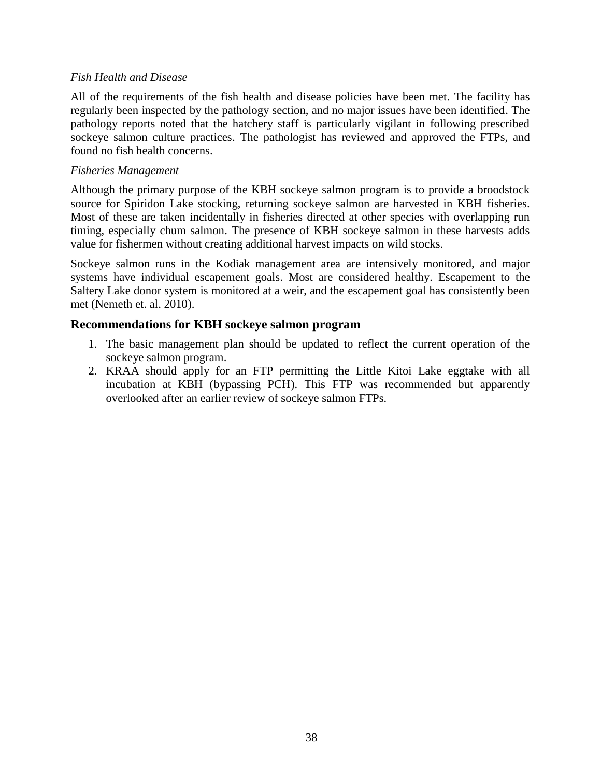#### *Fish Health and Disease*

All of the requirements of the fish health and disease policies have been met. The facility has regularly been inspected by the pathology section, and no major issues have been identified. The pathology reports noted that the hatchery staff is particularly vigilant in following prescribed sockeye salmon culture practices. The pathologist has reviewed and approved the FTPs, and found no fish health concerns.

#### *Fisheries Management*

Although the primary purpose of the KBH sockeye salmon program is to provide a broodstock source for Spiridon Lake stocking, returning sockeye salmon are harvested in KBH fisheries. Most of these are taken incidentally in fisheries directed at other species with overlapping run timing, especially chum salmon. The presence of KBH sockeye salmon in these harvests adds value for fishermen without creating additional harvest impacts on wild stocks.

Sockeye salmon runs in the Kodiak management area are intensively monitored, and major systems have individual escapement goals. Most are considered healthy. Escapement to the Saltery Lake donor system is monitored at a weir, and the escapement goal has consistently been met (Nemeth et. al. 2010).

#### **Recommendations for KBH sockeye salmon program**

- 1. The basic management plan should be updated to reflect the current operation of the sockeye salmon program.
- 2. KRAA should apply for an FTP permitting the Little Kitoi Lake eggtake with all incubation at KBH (bypassing PCH). This FTP was recommended but apparently overlooked after an earlier review of sockeye salmon FTPs.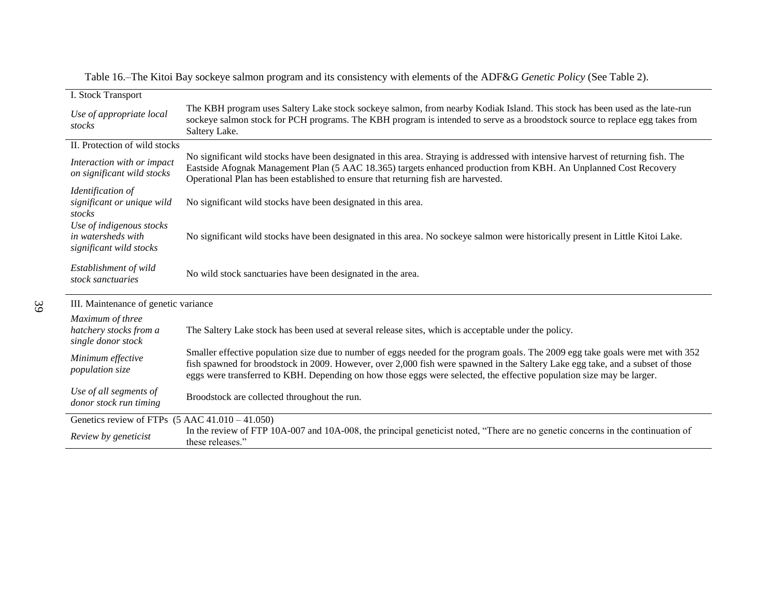| I. Stock Transport                                                        |                                                                                                                                                                                                                                                                                                                                                                                            |
|---------------------------------------------------------------------------|--------------------------------------------------------------------------------------------------------------------------------------------------------------------------------------------------------------------------------------------------------------------------------------------------------------------------------------------------------------------------------------------|
| Use of appropriate local<br>stocks                                        | The KBH program uses Saltery Lake stock sockeye salmon, from nearby Kodiak Island. This stock has been used as the late-run<br>sockeye salmon stock for PCH programs. The KBH program is intended to serve as a broodstock source to replace egg takes from<br>Saltery Lake.                                                                                                               |
| II. Protection of wild stocks                                             |                                                                                                                                                                                                                                                                                                                                                                                            |
| Interaction with or impact<br>on significant wild stocks                  | No significant wild stocks have been designated in this area. Straying is addressed with intensive harvest of returning fish. The<br>Eastside Afognak Management Plan (5 AAC 18.365) targets enhanced production from KBH. An Unplanned Cost Recovery<br>Operational Plan has been established to ensure that returning fish are harvested.                                                |
| Identification of<br>significant or unique wild<br>stocks                 | No significant wild stocks have been designated in this area.                                                                                                                                                                                                                                                                                                                              |
| Use of indigenous stocks<br>in watersheds with<br>significant wild stocks | No significant wild stocks have been designated in this area. No sockeye salmon were historically present in Little Kitoi Lake.                                                                                                                                                                                                                                                            |
| Establishment of wild<br>stock sanctuaries                                | No wild stock sanctuaries have been designated in the area.                                                                                                                                                                                                                                                                                                                                |
| III. Maintenance of genetic variance                                      |                                                                                                                                                                                                                                                                                                                                                                                            |
| Maximum of three                                                          |                                                                                                                                                                                                                                                                                                                                                                                            |
| hatchery stocks from a<br>single donor stock                              | The Saltery Lake stock has been used at several release sites, which is acceptable under the policy.                                                                                                                                                                                                                                                                                       |
| Minimum effective<br>population size                                      | Smaller effective population size due to number of eggs needed for the program goals. The 2009 egg take goals were met with 352<br>fish spawned for broodstock in 2009. However, over 2,000 fish were spawned in the Saltery Lake egg take, and a subset of those<br>eggs were transferred to KBH. Depending on how those eggs were selected, the effective population size may be larger. |
| Use of all segments of<br>donor stock run timing                          | Broodstock are collected throughout the run.                                                                                                                                                                                                                                                                                                                                               |
| Genetics review of FTPs $(5 \text{ AAC } 41.010 - 41.050)$                |                                                                                                                                                                                                                                                                                                                                                                                            |
| Review by geneticist                                                      | In the review of FTP 10A-007 and 10A-008, the principal geneticist noted, "There are no genetic concerns in the continuation of<br>these releases."                                                                                                                                                                                                                                        |

Table 16.–The Kitoi Bay sockeye salmon program and its consistency with elements of the ADF&G *Genetic Policy* (See Table 2).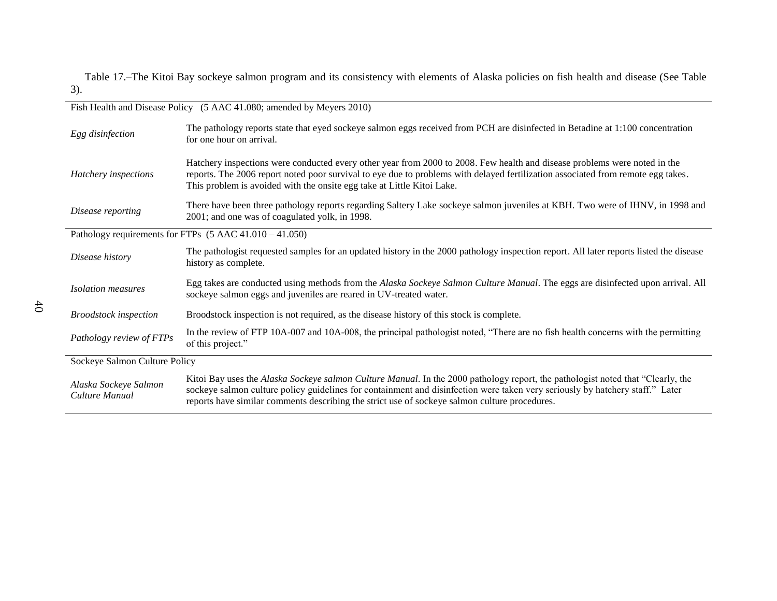Table 17.–The Kitoi Bay sockeye salmon program and its consistency with elements of Alaska policies on fish health and disease (See Table 3).

| Fish Health and Disease Policy (5 AAC 41.080; amended by Meyers 2010) |                                                                                                                                                                                                                                                                                                                                                                   |  |
|-----------------------------------------------------------------------|-------------------------------------------------------------------------------------------------------------------------------------------------------------------------------------------------------------------------------------------------------------------------------------------------------------------------------------------------------------------|--|
| Egg disinfection                                                      | The pathology reports state that eyed sockeye salmon eggs received from PCH are disinfected in Betadine at 1:100 concentration<br>for one hour on arrival.                                                                                                                                                                                                        |  |
| Hatchery inspections                                                  | Hatchery inspections were conducted every other year from 2000 to 2008. Few health and disease problems were noted in the<br>reports. The 2006 report noted poor survival to eye due to problems with delayed fertilization associated from remote egg takes.<br>This problem is avoided with the onsite egg take at Little Kitoi Lake.                           |  |
| Disease reporting                                                     | There have been three pathology reports regarding Saltery Lake sockeye salmon juveniles at KBH. Two were of IHNV, in 1998 and<br>2001; and one was of coagulated yolk, in 1998.                                                                                                                                                                                   |  |
|                                                                       | Pathology requirements for FTPs (5 AAC 41.010 - 41.050)                                                                                                                                                                                                                                                                                                           |  |
| Disease history                                                       | The pathologist requested samples for an updated history in the 2000 pathology inspection report. All later reports listed the disease<br>history as complete.                                                                                                                                                                                                    |  |
| <i>Isolation measures</i>                                             | Egg takes are conducted using methods from the Alaska Sockeye Salmon Culture Manual. The eggs are disinfected upon arrival. All<br>sockeye salmon eggs and juveniles are reared in UV-treated water.                                                                                                                                                              |  |
| <b>Broodstock</b> inspection                                          | Broodstock inspection is not required, as the disease history of this stock is complete.                                                                                                                                                                                                                                                                          |  |
| Pathology review of FTPs                                              | In the review of FTP 10A-007 and 10A-008, the principal pathologist noted, "There are no fish health concerns with the permitting<br>of this project."                                                                                                                                                                                                            |  |
| Sockeye Salmon Culture Policy                                         |                                                                                                                                                                                                                                                                                                                                                                   |  |
| Alaska Sockeye Salmon<br>Culture Manual                               | Kitoi Bay uses the Alaska Sockeye salmon Culture Manual. In the 2000 pathology report, the pathologist noted that "Clearly, the<br>sockeye salmon culture policy guidelines for containment and disinfection were taken very seriously by hatchery staff." Later<br>reports have similar comments describing the strict use of sockeye salmon culture procedures. |  |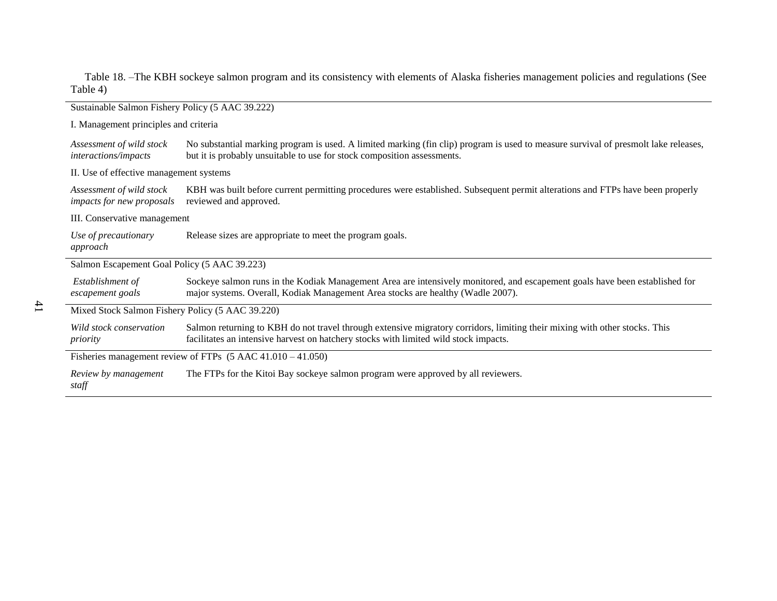Table 18. –The KBH sockeye salmon program and its consistency with elements of Alaska fisheries management policies and regulations (See Table 4)

| Sustainable Salmon Fishery Policy (5 AAC 39.222)                       |                                                                                                                                                                                                                    |  |  |
|------------------------------------------------------------------------|--------------------------------------------------------------------------------------------------------------------------------------------------------------------------------------------------------------------|--|--|
|                                                                        | I. Management principles and criteria                                                                                                                                                                              |  |  |
| Assessment of wild stock<br>interactions/impacts                       | No substantial marking program is used. A limited marking (fin clip) program is used to measure survival of presmolt lake releases,<br>but it is probably unsuitable to use for stock composition assessments.     |  |  |
| II. Use of effective management systems                                |                                                                                                                                                                                                                    |  |  |
| Assessment of wild stock<br>impacts for new proposals                  | KBH was built before current permitting procedures were established. Subsequent permit alterations and FTPs have been properly<br>reviewed and approved.                                                           |  |  |
| III. Conservative management                                           |                                                                                                                                                                                                                    |  |  |
| Use of precautionary<br>approach                                       | Release sizes are appropriate to meet the program goals.                                                                                                                                                           |  |  |
| Salmon Escapement Goal Policy (5 AAC 39.223)                           |                                                                                                                                                                                                                    |  |  |
| Establishment of<br>escapement goals                                   | Sockeye salmon runs in the Kodiak Management Area are intensively monitored, and escapement goals have been established for<br>major systems. Overall, Kodiak Management Area stocks are healthy (Wadle 2007).     |  |  |
| Mixed Stock Salmon Fishery Policy (5 AAC 39.220)                       |                                                                                                                                                                                                                    |  |  |
| Wild stock conservation<br>priority                                    | Salmon returning to KBH do not travel through extensive migratory corridors, limiting their mixing with other stocks. This<br>facilitates an intensive harvest on hatchery stocks with limited wild stock impacts. |  |  |
| Fisheries management review of FTPs $(5 \text{ AAC } 41.010 - 41.050)$ |                                                                                                                                                                                                                    |  |  |
| Review by management<br>staff                                          | The FTPs for the Kitoi Bay sockeye salmon program were approved by all reviewers.                                                                                                                                  |  |  |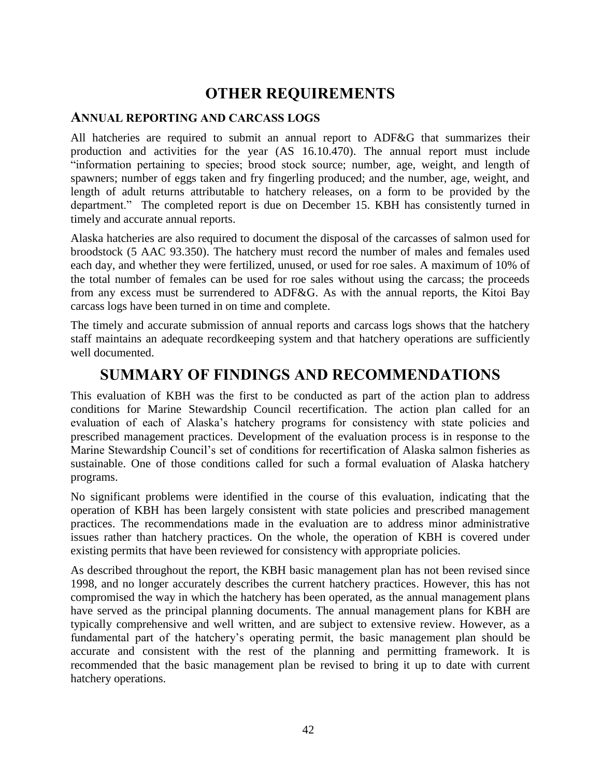# **OTHER REQUIREMENTS**

#### **ANNUAL REPORTING AND CARCASS LOGS**

All hatcheries are required to submit an annual report to ADF&G that summarizes their production and activities for the year (AS 16.10.470). The annual report must include ―information pertaining to species; brood stock source; number, age, weight, and length of spawners; number of eggs taken and fry fingerling produced; and the number, age, weight, and length of adult returns attributable to hatchery releases, on a form to be provided by the department." The completed report is due on December 15. KBH has consistently turned in timely and accurate annual reports.

Alaska hatcheries are also required to document the disposal of the carcasses of salmon used for broodstock (5 AAC 93.350). The hatchery must record the number of males and females used each day, and whether they were fertilized, unused, or used for roe sales. A maximum of 10% of the total number of females can be used for roe sales without using the carcass; the proceeds from any excess must be surrendered to ADF&G. As with the annual reports, the Kitoi Bay carcass logs have been turned in on time and complete.

The timely and accurate submission of annual reports and carcass logs shows that the hatchery staff maintains an adequate recordkeeping system and that hatchery operations are sufficiently well documented.

# **SUMMARY OF FINDINGS AND RECOMMENDATIONS**

This evaluation of KBH was the first to be conducted as part of the action plan to address conditions for Marine Stewardship Council recertification. The action plan called for an evaluation of each of Alaska's hatchery programs for consistency with state policies and prescribed management practices. Development of the evaluation process is in response to the Marine Stewardship Council's set of conditions for recertification of Alaska salmon fisheries as sustainable. One of those conditions called for such a formal evaluation of Alaska hatchery programs.

No significant problems were identified in the course of this evaluation, indicating that the operation of KBH has been largely consistent with state policies and prescribed management practices. The recommendations made in the evaluation are to address minor administrative issues rather than hatchery practices. On the whole, the operation of KBH is covered under existing permits that have been reviewed for consistency with appropriate policies.

As described throughout the report, the KBH basic management plan has not been revised since 1998, and no longer accurately describes the current hatchery practices. However, this has not compromised the way in which the hatchery has been operated, as the annual management plans have served as the principal planning documents. The annual management plans for KBH are typically comprehensive and well written, and are subject to extensive review. However, as a fundamental part of the hatchery's operating permit, the basic management plan should be accurate and consistent with the rest of the planning and permitting framework. It is recommended that the basic management plan be revised to bring it up to date with current hatchery operations.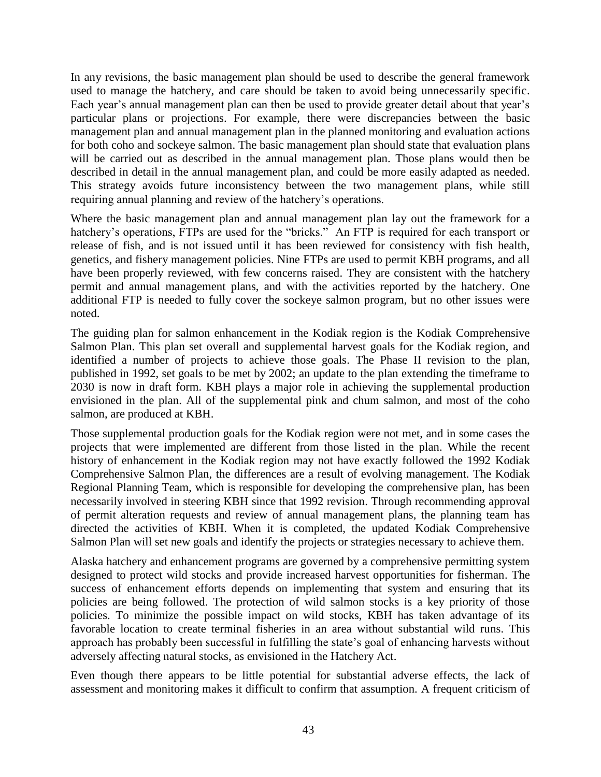In any revisions, the basic management plan should be used to describe the general framework used to manage the hatchery, and care should be taken to avoid being unnecessarily specific. Each year's annual management plan can then be used to provide greater detail about that year's particular plans or projections. For example, there were discrepancies between the basic management plan and annual management plan in the planned monitoring and evaluation actions for both coho and sockeye salmon. The basic management plan should state that evaluation plans will be carried out as described in the annual management plan. Those plans would then be described in detail in the annual management plan, and could be more easily adapted as needed. This strategy avoids future inconsistency between the two management plans, while still requiring annual planning and review of the hatchery's operations.

Where the basic management plan and annual management plan lay out the framework for a hatchery's operations, FTPs are used for the "bricks." An FTP is required for each transport or release of fish, and is not issued until it has been reviewed for consistency with fish health, genetics, and fishery management policies. Nine FTPs are used to permit KBH programs, and all have been properly reviewed, with few concerns raised. They are consistent with the hatchery permit and annual management plans, and with the activities reported by the hatchery. One additional FTP is needed to fully cover the sockeye salmon program, but no other issues were noted.

The guiding plan for salmon enhancement in the Kodiak region is the Kodiak Comprehensive Salmon Plan. This plan set overall and supplemental harvest goals for the Kodiak region, and identified a number of projects to achieve those goals. The Phase II revision to the plan, published in 1992, set goals to be met by 2002; an update to the plan extending the timeframe to 2030 is now in draft form. KBH plays a major role in achieving the supplemental production envisioned in the plan. All of the supplemental pink and chum salmon, and most of the coho salmon, are produced at KBH.

Those supplemental production goals for the Kodiak region were not met, and in some cases the projects that were implemented are different from those listed in the plan. While the recent history of enhancement in the Kodiak region may not have exactly followed the 1992 Kodiak Comprehensive Salmon Plan, the differences are a result of evolving management. The Kodiak Regional Planning Team, which is responsible for developing the comprehensive plan, has been necessarily involved in steering KBH since that 1992 revision. Through recommending approval of permit alteration requests and review of annual management plans, the planning team has directed the activities of KBH. When it is completed, the updated Kodiak Comprehensive Salmon Plan will set new goals and identify the projects or strategies necessary to achieve them.

Alaska hatchery and enhancement programs are governed by a comprehensive permitting system designed to protect wild stocks and provide increased harvest opportunities for fisherman. The success of enhancement efforts depends on implementing that system and ensuring that its policies are being followed. The protection of wild salmon stocks is a key priority of those policies. To minimize the possible impact on wild stocks, KBH has taken advantage of its favorable location to create terminal fisheries in an area without substantial wild runs. This approach has probably been successful in fulfilling the state's goal of enhancing harvests without adversely affecting natural stocks, as envisioned in the Hatchery Act.

Even though there appears to be little potential for substantial adverse effects, the lack of assessment and monitoring makes it difficult to confirm that assumption. A frequent criticism of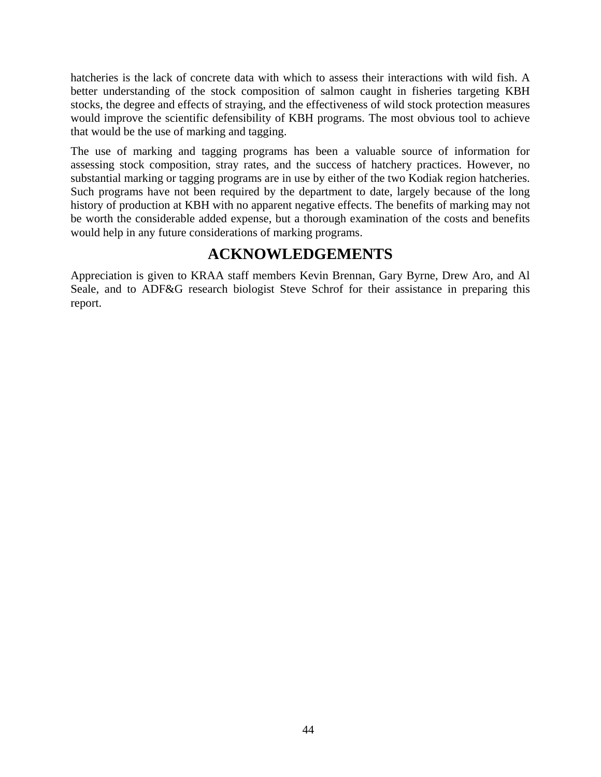hatcheries is the lack of concrete data with which to assess their interactions with wild fish. A better understanding of the stock composition of salmon caught in fisheries targeting KBH stocks, the degree and effects of straying, and the effectiveness of wild stock protection measures would improve the scientific defensibility of KBH programs. The most obvious tool to achieve that would be the use of marking and tagging.

The use of marking and tagging programs has been a valuable source of information for assessing stock composition, stray rates, and the success of hatchery practices. However, no substantial marking or tagging programs are in use by either of the two Kodiak region hatcheries. Such programs have not been required by the department to date, largely because of the long history of production at KBH with no apparent negative effects. The benefits of marking may not be worth the considerable added expense, but a thorough examination of the costs and benefits would help in any future considerations of marking programs.

# **ACKNOWLEDGEMENTS**

Appreciation is given to KRAA staff members Kevin Brennan, Gary Byrne, Drew Aro, and Al Seale, and to ADF&G research biologist Steve Schrof for their assistance in preparing this report.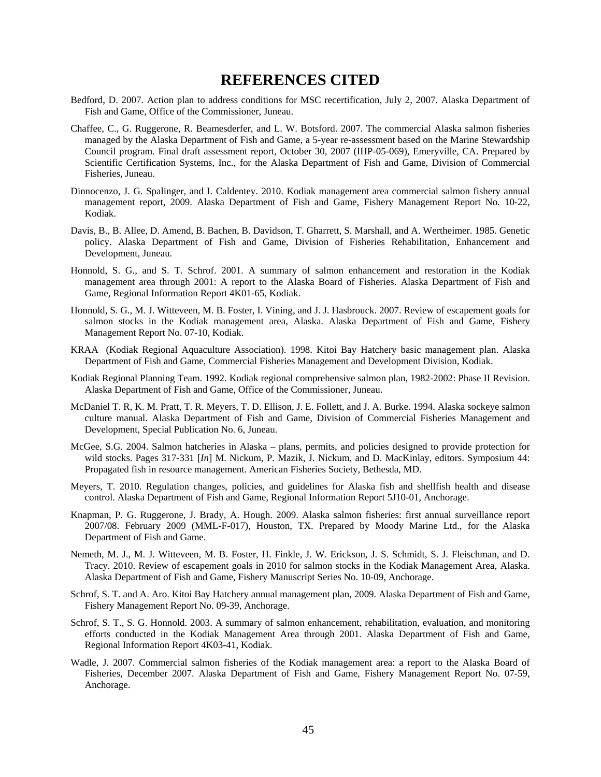# **REFERENCES CITED**

- Bedford, D. 2007. Action plan to address conditions for MSC recertification, July 2, 2007. Alaska Department of Fish and Game, Office of the Commissioner, Juneau.
- Chaffee, C., G. Ruggerone, R. Beamesderfer, and L. W. Botsford. 2007. The commercial Alaska salmon fisheries managed by the Alaska Department of Fish and Game, a 5-year re-assessment based on the Marine Stewardship Council program. Final draft assessment report, October 30, 2007 (IHP-05-069), Emeryville, CA. Prepared by Scientific Certification Systems, Inc., for the Alaska Department of Fish and Game, Division of Commercial Fisheries, Juneau.
- Dinnocenzo, J. G. Spalinger, and I. Caldentey. 2010. Kodiak management area commercial salmon fishery annual management report, 2009. Alaska Department of Fish and Game, Fishery Management Report No. 10-22, Kodiak.
- Davis, B., B. Allee, D. Amend, B. Bachen, B. Davidson, T. Gharrett, S. Marshall, and A. Wertheimer. 1985. Genetic policy. Alaska Department of Fish and Game, Division of Fisheries Rehabilitation, Enhancement and Development, Juneau.
- Honnold, S. G., and S. T. Schrof. 2001. A summary of salmon enhancement and restoration in the Kodiak management area through 2001: A report to the Alaska Board of Fisheries. Alaska Department of Fish and Game, Regional Information Report 4K01-65, Kodiak.
- Honnold, S. G., M. J. Witteveen, M. B. Foster, I. Vining, and J. J. Hasbrouck. 2007. Review of escapement goals for salmon stocks in the Kodiak management area, Alaska. Alaska Department of Fish and Game, Fishery Management Report No. 07-10, Kodiak.
- KRAA (Kodiak Regional Aquaculture Association). 1998. Kitoi Bay Hatchery basic management plan. Alaska Department of Fish and Game, Commercial Fisheries Management and Development Division, Kodiak.
- Kodiak Regional Planning Team. 1992. Kodiak regional comprehensive salmon plan, 1982-2002: Phase II Revision. Alaska Department of Fish and Game, Office of the Commissioner, Juneau.
- McDaniel T. R, K. M. Pratt, T. R. Meyers, T. D. Ellison, J. E. Follett, and J. A. Burke. 1994. Alaska sockeye salmon culture manual. Alaska Department of Fish and Game, Division of Commercial Fisheries Management and Development, Special Publication No. 6, Juneau.
- McGee, S.G. 2004. Salmon hatcheries in Alaska plans, permits, and policies designed to provide protection for wild stocks. Pages 317-331 [*In*] M. Nickum, P. Mazik, J. Nickum, and D. MacKinlay, editors. Symposium 44: Propagated fish in resource management. American Fisheries Society, Bethesda, MD.
- Meyers, T. 2010. Regulation changes, policies, and guidelines for Alaska fish and shellfish health and disease control. Alaska Department of Fish and Game, Regional Information Report 5J10-01, Anchorage.
- Knapman, P. G. Ruggerone, J. Brady, A. Hough. 2009. Alaska salmon fisheries: first annual surveillance report 2007/08. February 2009 (MML-F-017), Houston, TX. Prepared by Moody Marine Ltd., for the Alaska Department of Fish and Game.
- Nemeth, M. J., M. J. Witteveen, M. B. Foster, H. Finkle, J. W. Erickson, J. S. Schmidt, S. J. Fleischman, and D. Tracy. 2010. Review of escapement goals in 2010 for salmon stocks in the Kodiak Management Area, Alaska. Alaska Department of Fish and Game, Fishery Manuscript Series No. 10-09, Anchorage.
- Schrof, S. T. and A. Aro. Kitoi Bay Hatchery annual management plan, 2009. Alaska Department of Fish and Game, Fishery Management Report No. 09-39, Anchorage.
- Schrof, S. T., S. G. Honnold. 2003. A summary of salmon enhancement, rehabilitation, evaluation, and monitoring efforts conducted in the Kodiak Management Area through 2001. Alaska Department of Fish and Game, Regional Information Report 4K03-41, Kodiak.
- Wadle, J. 2007. Commercial salmon fisheries of the Kodiak management area: a report to the Alaska Board of Fisheries, December 2007. Alaska Department of Fish and Game, Fishery Management Report No. 07-59, Anchorage.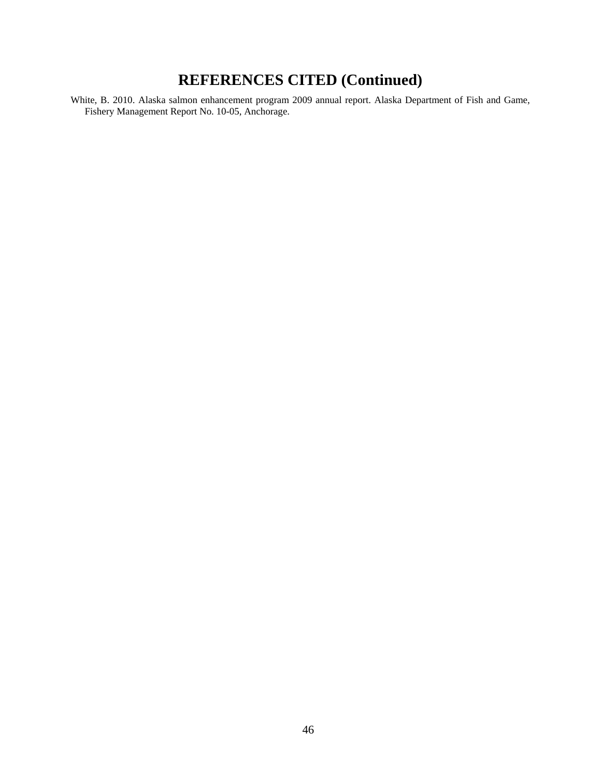# **REFERENCES CITED (Continued)**

White, B. 2010. Alaska salmon enhancement program 2009 annual report. Alaska Department of Fish and Game, Fishery Management Report No. 10-05, Anchorage.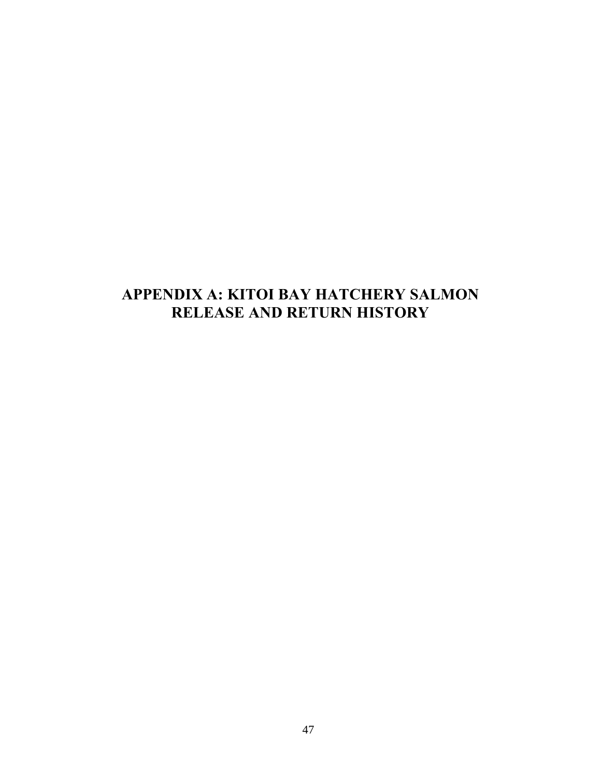# **APPENDIX A: KITOI BAY HATCHERY SALMON RELEASE AND RETURN HISTORY**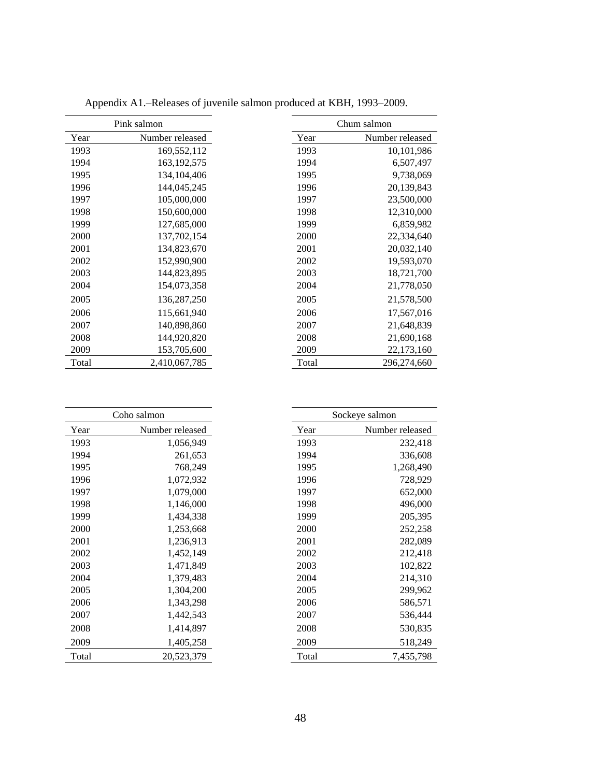|       | Pink salmon     |       | Chum salmon     |
|-------|-----------------|-------|-----------------|
| Year  | Number released | Year  | Number released |
| 1993  | 169,552,112     | 1993  | 10,101,986      |
| 1994  | 163, 192, 575   | 1994  | 6,507,497       |
| 1995  | 134,104,406     | 1995  | 9,738,069       |
| 1996  | 144,045,245     | 1996  | 20,139,843      |
| 1997  | 105,000,000     | 1997  | 23,500,000      |
| 1998  | 150,600,000     | 1998  | 12,310,000      |
| 1999  | 127,685,000     | 1999  | 6,859,982       |
| 2000  | 137,702,154     | 2000  | 22,334,640      |
| 2001  | 134,823,670     | 2001  | 20,032,140      |
| 2002  | 152,990,900     | 2002  | 19,593,070      |
| 2003  | 144,823,895     | 2003  | 18,721,700      |
| 2004  | 154,073,358     | 2004  | 21,778,050      |
| 2005  | 136,287,250     | 2005  | 21,578,500      |
| 2006  | 115,661,940     | 2006  | 17,567,016      |
| 2007  | 140,898,860     | 2007  | 21,648,839      |
| 2008  | 144,920,820     | 2008  | 21,690,168      |
| 2009  | 153,705,600     | 2009  | 22,173,160      |
| Total | 2,410,067,785   | Total | 296,274,660     |

Appendix A1.–Releases of juvenile salmon produced at KBH, 1993–2009.

|       | Coho salmon     |       | Sockeye salmon  |
|-------|-----------------|-------|-----------------|
| Year  | Number released | Year  | Number released |
| 1993  | 1,056,949       | 1993  | 232,418         |
| 1994  | 261,653         | 1994  | 336,608         |
| 1995  | 768,249         | 1995  | 1,268,490       |
| 1996  | 1,072,932       | 1996  | 728,929         |
| 1997  | 1,079,000       | 1997  | 652,000         |
| 1998  | 1,146,000       | 1998  | 496,000         |
| 1999  | 1,434,338       | 1999  | 205,395         |
| 2000  | 1,253,668       | 2000  | 252,258         |
| 2001  | 1,236,913       | 2001  | 282,089         |
| 2002  | 1,452,149       | 2002  | 212,418         |
| 2003  | 1,471,849       | 2003  | 102,822         |
| 2004  | 1,379,483       | 2004  | 214,310         |
| 2005  | 1,304,200       | 2005  | 299,962         |
| 2006  | 1,343,298       | 2006  | 586,571         |
| 2007  | 1,442,543       | 2007  | 536,444         |
| 2008  | 1,414,897       | 2008  | 530,835         |
| 2009  | 1,405,258       | 2009  | 518,249         |
| Total | 20,523,379      | Total | 7,455,798       |
|       |                 |       |                 |

| Coho salmon     | Sockeye salmon |                 |
|-----------------|----------------|-----------------|
| Number released | Year           | Number released |
| 1,056,949       | 1993           | 232,418         |
| 261,653         | 1994           | 336,608         |
| 768,249         | 1995           | 1,268,490       |
| 1,072,932       | 1996           | 728,929         |
| 1,079,000       | 1997           | 652,000         |
| 1,146,000       | 1998           | 496,000         |
| 1,434,338       | 1999           | 205,395         |
| 1,253,668       | 2000           | 252,258         |
| 1,236,913       | 2001           | 282,089         |
| 1,452,149       | 2002           | 212,418         |
| 1,471,849       | 2003           | 102,822         |
| 1,379,483       | 2004           | 214,310         |
| 1,304,200       | 2005           | 299,962         |
| 1,343,298       | 2006           | 586,571         |
| 1,442,543       | 2007           | 536,444         |
| 1,414,897       | 2008           | 530,835         |
| 1,405,258       | 2009           | 518,249         |
| 20,523,379      | Total          | 7,455,798       |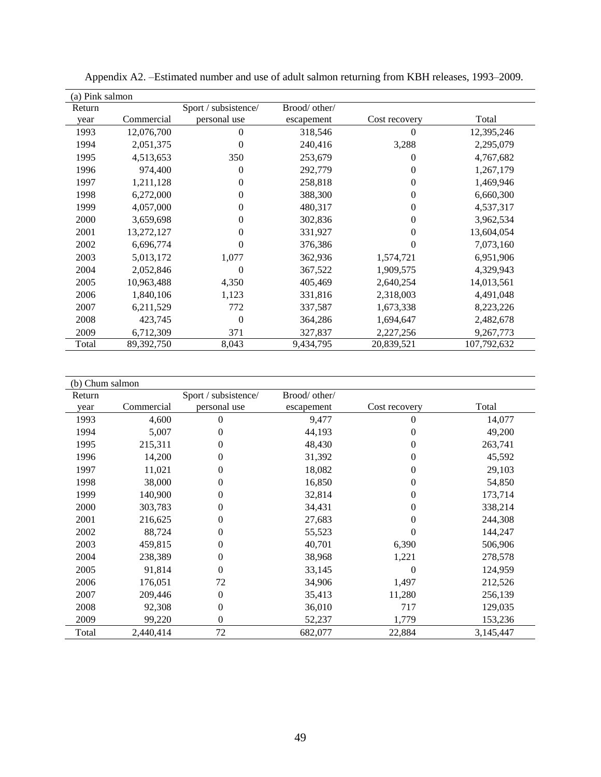| (a) Pink salmon |            |                      |               |               |             |
|-----------------|------------|----------------------|---------------|---------------|-------------|
| Return          |            | Sport / subsistence/ | Brood/ other/ |               |             |
| year            | Commercial | personal use         | escapement    | Cost recovery | Total       |
| 1993            | 12,076,700 | $\mathbf{0}$         | 318,546       | 0             | 12,395,246  |
| 1994            | 2,051,375  | $\Omega$             | 240,416       | 3,288         | 2,295,079   |
| 1995            | 4,513,653  | 350                  | 253,679       | 0             | 4,767,682   |
| 1996            | 974,400    | $\Omega$             | 292,779       | 0             | 1,267,179   |
| 1997            | 1,211,128  | $\mathbf{0}$         | 258,818       | 0             | 1,469,946   |
| 1998            | 6,272,000  | 0                    | 388,300       | 0             | 6,660,300   |
| 1999            | 4,057,000  | $\theta$             | 480,317       | 0             | 4,537,317   |
| 2000            | 3,659,698  | 0                    | 302,836       | $\theta$      | 3,962,534   |
| 2001            | 13,272,127 | $\Omega$             | 331,927       | 0             | 13,604,054  |
| 2002            | 6,696,774  | $\Omega$             | 376,386       | 0             | 7,073,160   |
| 2003            | 5,013,172  | 1,077                | 362,936       | 1,574,721     | 6,951,906   |
| 2004            | 2,052,846  | $\Omega$             | 367,522       | 1,909,575     | 4,329,943   |
| 2005            | 10,963,488 | 4,350                | 405,469       | 2,640,254     | 14,013,561  |
| 2006            | 1,840,106  | 1,123                | 331,816       | 2,318,003     | 4,491,048   |
| 2007            | 6,211,529  | 772                  | 337,587       | 1,673,338     | 8,223,226   |
| 2008            | 423,745    | $\mathbf{0}$         | 364,286       | 1,694,647     | 2,482,678   |
| 2009            | 6,712,309  | 371                  | 327,837       | 2,227,256     | 9,267,773   |
| Total           | 89,392,750 | 8,043                | 9,434,795     | 20,839,521    | 107,792,632 |

| Appendix A2. - Estimated number and use of adult salmon returning from KBH releases, 1993–2009. |  |  |  |
|-------------------------------------------------------------------------------------------------|--|--|--|
|                                                                                                 |  |  |  |

| (b) Chum salmon |            |                      |               |               |           |
|-----------------|------------|----------------------|---------------|---------------|-----------|
| Return          |            | Sport / subsistence/ | Brood/ other/ |               |           |
| year            | Commercial | personal use         | escapement    | Cost recovery | Total     |
| 1993            | 4,600      | $\Omega$             | 9,477         | 0             | 14,077    |
| 1994            | 5,007      | 0                    | 44,193        | 0             | 49,200    |
| 1995            | 215,311    | $\Omega$             | 48,430        | 0             | 263,741   |
| 1996            | 14,200     | $\boldsymbol{0}$     | 31,392        | 0             | 45,592    |
| 1997            | 11,021     | $\theta$             | 18,082        | 0             | 29,103    |
| 1998            | 38,000     | $\theta$             | 16,850        | 0             | 54,850    |
| 1999            | 140,900    | 0                    | 32,814        | 0             | 173,714   |
| 2000            | 303,783    | $\theta$             | 34,431        | 0             | 338,214   |
| 2001            | 216,625    | $\overline{0}$       | 27,683        | 0             | 244,308   |
| 2002            | 88,724     | $\theta$             | 55,523        |               | 144,247   |
| 2003            | 459,815    | $\theta$             | 40,701        | 6,390         | 506,906   |
| 2004            | 238,389    | $\boldsymbol{0}$     | 38,968        | 1,221         | 278,578   |
| 2005            | 91,814     | $\mathbf{0}$         | 33,145        | 0             | 124,959   |
| 2006            | 176,051    | 72                   | 34,906        | 1,497         | 212,526   |
| 2007            | 209,446    | $\overline{0}$       | 35,413        | 11,280        | 256,139   |
| 2008            | 92,308     | $\boldsymbol{0}$     | 36,010        | 717           | 129,035   |
| 2009            | 99,220     | $\boldsymbol{0}$     | 52,237        | 1,779         | 153,236   |
| Total           | 2,440,414  | 72                   | 682,077       | 22,884        | 3,145,447 |